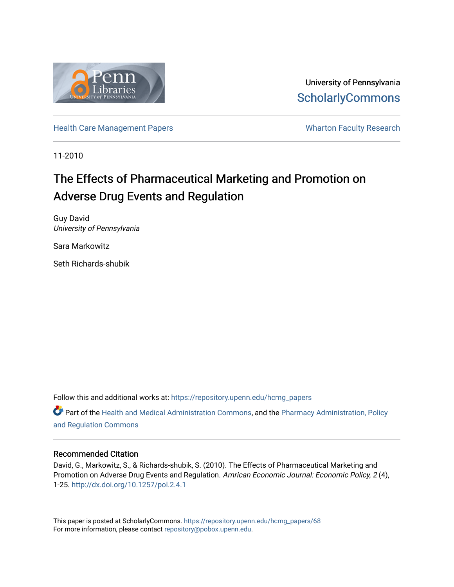

University of Pennsylvania **ScholarlyCommons** 

[Health Care Management Papers](https://repository.upenn.edu/hcmg_papers) National Control of Management Papers National Control of Management Papers National Control of Management Papers National Control of Management Papers National Control of Management Papers Na

11-2010

# The Effects of Pharmaceutical Marketing and Promotion on Adverse Drug Events and Regulation

Guy David University of Pennsylvania

Sara Markowitz

Seth Richards-shubik

Follow this and additional works at: [https://repository.upenn.edu/hcmg\\_papers](https://repository.upenn.edu/hcmg_papers?utm_source=repository.upenn.edu%2Fhcmg_papers%2F68&utm_medium=PDF&utm_campaign=PDFCoverPages) 

 $\bullet$  Part of the [Health and Medical Administration Commons](http://network.bepress.com/hgg/discipline/663?utm_source=repository.upenn.edu%2Fhcmg_papers%2F68&utm_medium=PDF&utm_campaign=PDFCoverPages), and the [Pharmacy Administration, Policy](http://network.bepress.com/hgg/discipline/732?utm_source=repository.upenn.edu%2Fhcmg_papers%2F68&utm_medium=PDF&utm_campaign=PDFCoverPages) [and Regulation Commons](http://network.bepress.com/hgg/discipline/732?utm_source=repository.upenn.edu%2Fhcmg_papers%2F68&utm_medium=PDF&utm_campaign=PDFCoverPages) 

# Recommended Citation

David, G., Markowitz, S., & Richards-shubik, S. (2010). The Effects of Pharmaceutical Marketing and Promotion on Adverse Drug Events and Regulation. Amrican Economic Journal: Economic Policy, 2 (4), 1-25. <http://dx.doi.org/10.1257/pol.2.4.1>

This paper is posted at ScholarlyCommons. [https://repository.upenn.edu/hcmg\\_papers/68](https://repository.upenn.edu/hcmg_papers/68)  For more information, please contact [repository@pobox.upenn.edu.](mailto:repository@pobox.upenn.edu)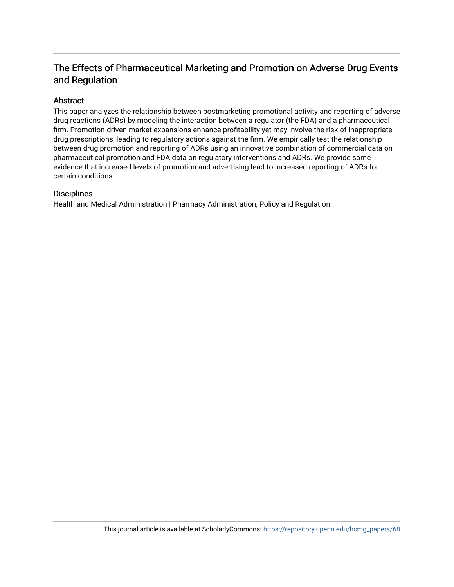# The Effects of Pharmaceutical Marketing and Promotion on Adverse Drug Events and Regulation

# Abstract

This paper analyzes the relationship between postmarketing promotional activity and reporting of adverse drug reactions (ADRs) by modeling the interaction between a regulator (the FDA) and a pharmaceutical firm. Promotion-driven market expansions enhance profitability yet may involve the risk of inappropriate drug prescriptions, leading to regulatory actions against the firm. We empirically test the relationship between drug promotion and reporting of ADRs using an innovative combination of commercial data on pharmaceutical promotion and FDA data on regulatory interventions and ADRs. We provide some evidence that increased levels of promotion and advertising lead to increased reporting of ADRs for certain conditions.

# **Disciplines**

Health and Medical Administration | Pharmacy Administration, Policy and Regulation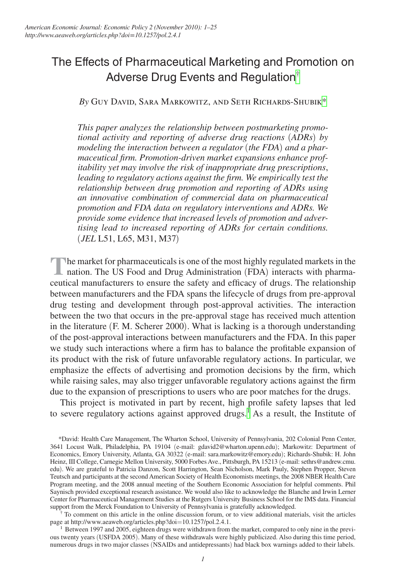# The Effects of Pharmaceutical Marketing and Promotion on Adverse Drug Events and Regulation[†](#page-2-1)

*By* Guy David, Sara Markowitz, and Seth Richards-Shubik[\\*](#page-2-2)

*This paper analyzes the relationship between postmarketing promotional activity and reporting of adverse drug reactions* (*ADRs*) *by modeling the interaction between a regulator* (*the FDA*) *and a pharmaceutical firm. Promotion-driven market expansions enhance profitability yet may involve the risk of inappropriate drug prescriptions*, *leading to regulatory actions against the firm. We empirically test the relationship between drug promotion and reporting of ADRs using an innovative combination of commercial data on pharmaceutical promotion and FDA data on regulatory interventions and ADRs. We provide some evidence that increased levels of promotion and advertising lead to increased reporting of ADRs for certain conditions.*  (*JEL* L51, L65, M31, M37)

**T**he market for pharmaceuticals is one of the most highly regulated markets in the nation. The US Food and Drug Administration (FDA) interacts with pharmaceutical manufacturers to ensure the safety and efficacy of drugs. The relationship between manufacturers and the FDA spans the lifecycle of drugs from pre-approval drug testing and development through post-approval activities. The interaction between the two that occurs in the pre-approval stage has received much attention in the literature (F. M. Scherer 2000). What is lacking is a thorough understanding of the post-approval interactions between manufacturers and the FDA. In this paper we study such interactions where a firm has to balance the profitable expansion of its product with the risk of future unfavorable regulatory actions. In particular, we emphasize the effects of advertising and promotion decisions by the firm, which while raising sales, may also trigger unfavorable regulatory actions against the firm due to the expansion of prescriptions to users who are poor matches for the drugs.

This project is motivated in part by recent, high profile safety lapses that led to severe regulatory actions against approved drugs.<sup>[1](#page-2-0)</sup> As a result, the Institute of

<span id="page-2-1"></span>page at http://www.aeaweb.org/articles.php?doi=10.1257/pol.2.4.1.

<span id="page-2-0"></span><sup>1</sup> Between 1997 and 2005, eighteen drugs were withdrawn from the market, compared to only nine in the previous twenty years (USFDA 2005). Many of these withdrawals were highly publicized. Also during this time period, numerous drugs in two major classes (NSAIDs and antidepressants) had black box warnings added to their labels.

<span id="page-2-2"></span><sup>\*</sup>David: Health Care Management, The Wharton School, University of Pennsylvania, 202 Colonial Penn Center, 3641 Locust Walk, Philadelphia, PA 19104 (e-mail: gdavid2@wharton.upenn.edu); Markowitz: Department of Economics, Emory University, Atlanta, GA 30322 (e-mail: sara.markowitz@emory.edu); Richards-Shubik: H. John Heinz, III College, Carnegie Mellon University, 5000 Forbes Ave., Pittsburgh, PA 15213 (e-mail: sethrs@andrew.cmu. edu). We are grateful to Patricia Danzon, Scott Harrington, Sean Nicholson, Mark Pauly, Stephen Propper, Steven Teutsch and participants at the second American Society of Health Economists meetings, the 2008 NBER Health Care Program meeting, and the 2008 annual meeting of the Southern Economic Association for helpful comments. Phil Saynisch provided exceptional research assistance. We would also like to acknowledge the Blanche and Irwin Lerner Center for Pharmaceutical Management Studies at the Rutgers University Business School for the IMS data. Financial support from the Merck Foundation to University of Pennsylvania is gratefully acknowledged.<br>† To comment on this article in the online discussion forum, or to view additional materials, visit the articles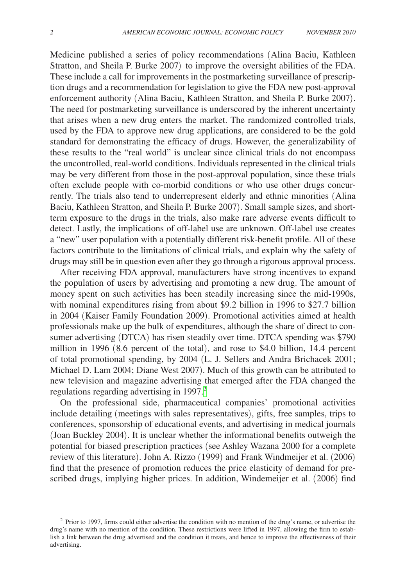Medicine published a series of policy recommendations (Alina Baciu, Kathleen Stratton, and Sheila P. Burke 2007) to improve the oversight abilities of the FDA. These include a call for improvements in the postmarketing surveillance of prescription drugs and a recommendation for legislation to give the FDA new post-approval enforcement authority (Alina Baciu, Kathleen Stratton, and Sheila P. Burke 2007). The need for postmarketing surveillance is underscored by the inherent uncertainty that arises when a new drug enters the market. The randomized controlled trials, used by the FDA to approve new drug applications, are considered to be the gold standard for demonstrating the efficacy of drugs. However, the generalizability of these results to the "real world" is unclear since clinical trials do not encompass the uncontrolled, real-world conditions. Individuals represented in the clinical trials may be very different from those in the post-approval population, since these trials often exclude people with co-morbid conditions or who use other drugs concurrently. The trials also tend to underrepresent elderly and ethnic minorities (Alina Baciu, Kathleen Stratton, and Sheila P. Burke 2007). Small sample sizes, and shortterm exposure to the drugs in the trials, also make rare adverse events difficult to detect. Lastly, the implications of off-label use are unknown. Off-label use creates a "new" user population with a potentially different risk-benefit profile. All of these factors contribute to the limitations of clinical trials, and explain why the safety of drugs may still be in question even after they go through a rigorous approval process.

After receiving FDA approval, manufacturers have strong incentives to expand the population of users by advertising and promoting a new drug. The amount of money spent on such activities has been steadily increasing since the mid-1990s, with nominal expenditures rising from about \$9.2 billion in 1996 to \$27.7 billion in 2004 (Kaiser Family Foundation 2009). Promotional activities aimed at health professionals make up the bulk of expenditures, although the share of direct to consumer advertising (DTCA) has risen steadily over time. DTCA spending was \$790 million in 1996 (8.6 percent of the total), and rose to \$4.0 billion, 14.4 percent of total promotional spending, by 2004 (L. J. Sellers and Andra Brichacek 2001; Michael D. Lam 2004; Diane West 2007). Much of this growth can be attributed to new television and magazine advertising that emerged after the FDA changed the regulations regarding advertising in 1997.<sup>[2](#page-3-0)</sup>

On the professional side, pharmaceutical companies' promotional activities include detailing (meetings with sales representatives), gifts, free samples, trips to conferences, sponsorship of educational events, and advertising in medical journals (Joan Buckley 2004). It is unclear whether the informational benefits outweigh the potential for biased prescription practices (see Ashley Wazana 2000 for a complete review of this literature). John A. Rizzo (1999) and Frank Windmeijer et al. (2006) find that the presence of promotion reduces the price elasticity of demand for prescribed drugs, implying higher prices. In addition, Windemeijer et al. (2006) find

<span id="page-3-0"></span><sup>&</sup>lt;sup>2</sup> Prior to 1997, firms could either advertise the condition with no mention of the drug's name, or advertise the drug's name with no mention of the condition. These restrictions were lifted in 1997, allowing the firm to establish a link between the drug advertised and the condition it treats, and hence to improve the effectiveness of their advertising.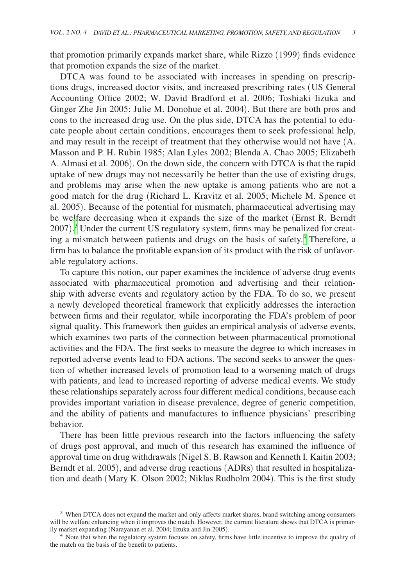that promotion primarily expands market share, while Rizzo (1999) finds evidence that promotion expands the size of the market.

DTCA was found to be associated with increases in spending on prescriptions drugs, increased doctor visits, and increased prescribing rates (US General Accounting Office 2002; W. David Bradford et al. 2006; Toshiaki Iizuka and Ginger Zhe Jin 2005; Julie M. Donohue et al. 2004). But there are both pros and cons to the increased drug use. On the plus side, DTCA has the potential to educate people about certain conditions, encourages them to seek professional help, and may result in the receipt of treatment that they otherwise would not have (A. Masson and P. H. Rubin 1985; Alan Lyles 2002; Blenda A. Chao 2005; Elizabeth A. Almasi et al. 2006). On the down side, the concern with DTCA is that the rapid uptake of new drugs may not necessarily be better than the use of existing drugs, and problems may arise when the new uptake is among patients who are not a good match for the drug (Richard L. Kravitz et al. 2005; Michele M. Spence et al. 2005). Because of the potential for mismatch, pharmaceutical advertising may be welfare decreasing when it expands the size of the market (Ernst R. Berndt 2007). [3](#page-4-0) Under the current US regulatory system, firms may be penalized for creat-ing a mismatch between patients and drugs on the basis of safety.<sup>[4](#page-4-1)</sup> Therefore, a firm has to balance the profitable expansion of its product with the risk of unfavorable regulatory actions.

To capture this notion, our paper examines the incidence of adverse drug events associated with pharmaceutical promotion and advertising and their relationship with adverse events and regulatory action by the FDA. To do so, we present a newly developed theoretical framework that explicitly addresses the interaction between firms and their regulator, while incorporating the FDA's problem of poor signal quality. This framework then guides an empirical analysis of adverse events, which examines two parts of the connection between pharmaceutical promotional activities and the FDA. The first seeks to measure the degree to which increases in reported adverse events lead to FDA actions. The second seeks to answer the question of whether increased levels of promotion lead to a worsening match of drugs with patients, and lead to increased reporting of adverse medical events. We study these relationships separately across four different medical conditions, because each provides important variation in disease prevalence, degree of generic competition, and the ability of patients and manufactures to influence physicians' prescribing behavior.

There has been little previous research into the factors influencing the safety of drugs post approval, and much of this research has examined the influence of approval time on drug withdrawals (Nigel S. B. Rawson and Kenneth I. Kaitin 2003; Berndt et al. 2005), and adverse drug reactions (ADRs) that resulted in hospitalization and death (Mary K. Olson 2002; Niklas Rudholm 2004). This is the first study

<span id="page-4-0"></span><sup>&</sup>lt;sup>3</sup> When DTCA does not expand the market and only affects market shares, brand switching among consumers will be welfare enhancing when it improves the match. However, the current literature shows that DTCA is primarily market expanding (Narayanan et al. 2004; Iizuka and Jin 2005).<br><sup>4</sup> Note that when the regulatory system focuses on safety, firms have little incentive to improve the quality of

<span id="page-4-1"></span>the match on the basis of the benefit to patients.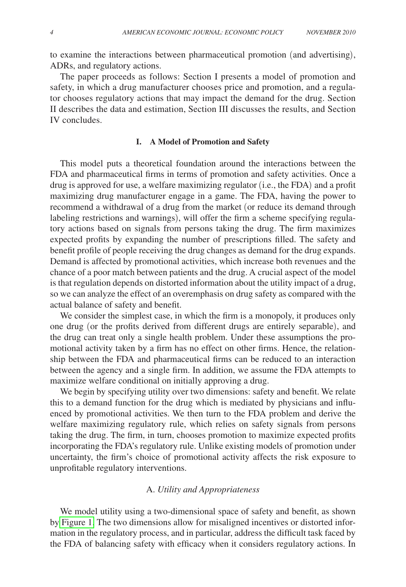<span id="page-5-0"></span>to examine the interactions between pharmaceutical promotion (and advertising), ADRs, and regulatory actions.

The paper proceeds as follows: Section I presents a model of promotion and safety, in which a drug manufacturer chooses price and promotion, and a regulator chooses regulatory actions that may impact the demand for the drug. Section II describes the data and estimation, Section III discusses the results, and Section IV concludes.

#### **I. A Model of Promotion and Safety**

This model puts a theoretical foundation around the interactions between the FDA and pharmaceutical firms in terms of promotion and safety activities. Once a drug is approved for use, a welfare maximizing regulator (i.e., the FDA) and a profit maximizing drug manufacturer engage in a game. The FDA, having the power to recommend a withdrawal of a drug from the market (or reduce its demand through labeling restrictions and warnings), will offer the firm a scheme specifying regulatory actions based on signals from persons taking the drug. The firm maximizes expected profits by expanding the number of prescriptions filled. The safety and benefit profile of people receiving the drug changes as demand for the drug expands. Demand is affected by promotional activities, which increase both revenues and the chance of a poor match between patients and the drug. A crucial aspect of the model is that regulation depends on distorted information about the utility impact of a drug, so we can analyze the effect of an overemphasis on drug safety as compared with the actual balance of safety and benefit.

We consider the simplest case, in which the firm is a monopoly, it produces only one drug (or the profits derived from different drugs are entirely separable), and the drug can treat only a single health problem. Under these assumptions the promotional activity taken by a firm has no effect on other firms. Hence, the relationship between the FDA and pharmaceutical firms can be reduced to an interaction between the agency and a single firm. In addition, we assume the FDA attempts to maximize welfare conditional on initially approving a drug.

We begin by specifying utility over two dimensions: safety and benefit. We relate this to a demand function for the drug which is mediated by physicians and influenced by promotional activities. We then turn to the FDA problem and derive the welfare maximizing regulatory rule, which relies on safety signals from persons taking the drug. The firm, in turn, chooses promotion to maximize expected profits incorporating the FDA's regulatory rule. Unlike existing models of promotion under uncertainty, the firm's choice of promotional activity affects the risk exposure to unprofitable regulatory interventions.

### A. *Utility and Appropriateness*

We model utility using a two-dimensional space of safety and benefit, as shown by [Figure 1.](#page-6-0) The two dimensions allow for misaligned incentives or distorted information in the regulatory process, and in particular, address the difficult task faced by the FDA of balancing safety with efficacy when it considers regulatory actions. In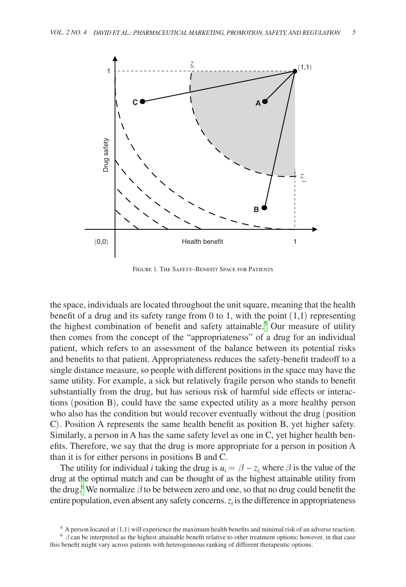<span id="page-6-0"></span>

Figure 1. The Safety–Benefit Space for Patients

the space, individuals are located throughout the unit square, meaning that the health benefit of a drug and its safety range from 0 to 1, with the point (1,1) representing the highest combination of benefit and safety attainable.<sup>5</sup> Our measure of utility then comes from the concept of the "appropriateness" of a drug for an individual patient, which refers to an assessment of the balance between its potential risks and benefits to that patient. Appropriateness reduces the safety-benefit tradeoff to a single distance measure, so people with different positions in the space may have the same utility. For example, a sick but relatively fragile person who stands to benefit substantially from the drug, but has serious risk of harmful side effects or interactions (position B), could have the same expected utility as a more healthy person who also has the condition but would recover eventually without the drug (position C). Position A represents the same health benefit as position B, yet higher safety. Similarly, a person in A has the same safety level as one in C, yet higher health benefits. Therefore, we say that the drug is more appropriate for a person in position A than it is for either persons in positions B and C.

The utility for individual *i* taking the drug is  $u_i = \beta - z_i$ , where  $\beta$  is the value of the drug at the optimal match and can be thought of as the highest attainable utility from the drug.<sup>6</sup> We normalize  $\beta$  to be between zero and one, so that no drug could benefit the entire population, even absent any safety concerns.  $z_i$  is the difference in appropriateness

<span id="page-6-2"></span><span id="page-6-1"></span>

<sup>&</sup>lt;sup>5</sup> A person located at (1,1) will experience the maximum health benefits and minimal risk of an adverse reaction.<br><sup>6</sup>  $\beta$  can be interpreted as the highest attainable benefit relative to other treatment options; however this benefit might vary across patients with heterogeneous ranking of different therapeutic options.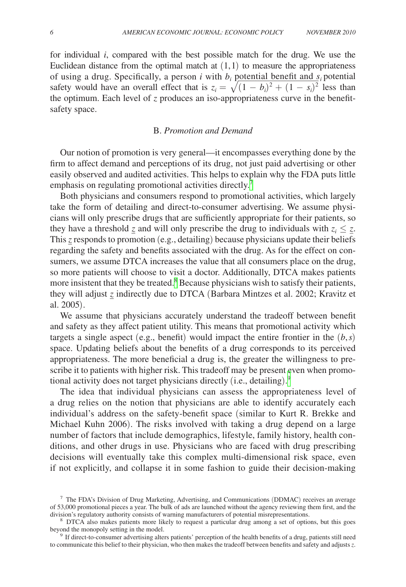<span id="page-7-0"></span>for individual *i*, compared with the best possible match for the drug. We use the Euclidean distance from the optimal match at  $(1,1)$  to measure the appropriateness of using a drug. Specifically, a person  $i$  with  $b_i$  potential benefit and  $s_i$  potential safety would have an overall effect that is  $z_i = \sqrt{\frac{z_i^2}{z_i}}$ match for the drug. W<br>to measure the approximation of the space of  $(1 - b_i)^2 + (1 - s_i)^2$ <br>opriateness curve in the  $(1-b_i)^2 + (1-s_i)^2$ We use the priateness<br>priateness<br>less than<br>he benefitthe optimum. Each level of *z* produces an iso-appropriateness curve in the benefitsafety space.

# B. *Promotion and Demand*

Our notion of promotion is very general—it encompasses everything done by the firm to affect demand and perceptions of its drug, not just paid advertising or other easily observed and audited activities. This helps to explain why the FDA puts little emphasis on regulating promotional activities directly.<sup>[7](#page-7-1)</sup>

Both physicians and consumers respond to promotional activities, which largely take the form of detailing and direct-to-consumer advertising. We assume physicians will only prescribe drugs that are sufficiently appropriate for their patients, so they have a threshold *z* and will only prescribe the drug to individuals with  $z_i \leq z$ . This *z* responds to promotion (e.g., detailing) because physicians update their beliefs regarding the safety and benefits associated with the drug. As for the effect on consumers, we assume DTCA increases the value that all consumers place on the drug, so more patients will choose to visit a doctor. Additionally, DTCA makes patients more insistent that they be treated.<sup>[8](#page-7-2)</sup> Because physicians wish to satisfy their patients, they will adjust z indirectly due to DTCA (Barbara Mintzes et al. 2002; Kravitz et al. 2005).

We assume that physicians accurately understand the tradeoff between benefit and safety as they affect patient utility. This means that promotional activity which targets a single aspect (e.g., benefit) would impact the entire frontier in the  $(b, s)$ space. Updating beliefs about the benefits of a drug corresponds to its perceived appropriateness. The more beneficial a drug is, the greater the willingness to prescribe it to patients with higher risk. This tradeoff may be present even when promotional activity does not target physicians directly (i.e., detailing). [9](#page-7-3)

The idea that individual physicians can assess the appropriateness level of a drug relies on the notion that physicians are able to identify accurately each individual's address on the safety-benefit space (similar to Kurt R. Brekke and Michael Kuhn 2006). The risks involved with taking a drug depend on a large number of factors that include demographics, lifestyle, family history, health conditions, and other drugs in use. Physicians who are faced with drug prescribing decisions will eventually take this complex multi-dimensional risk space, even if not explicitly, and collapse it in some fashion to guide their decision-making

<span id="page-7-1"></span><sup>7</sup> The FDA's Division of Drug Marketing, Advertising, and Communications (DDMAC) receives an average of 53,000 promotional pieces a year. The bulk of ads are launched without the agency reviewing them first, and the division's regulatory authority consists of warning manufacturers of potential misrepresentations.

<span id="page-7-2"></span><sup>&</sup>lt;sup>8</sup> DTCA also makes patients more likely to request a particular drug among a set of options, but this goes beyond the monopoly setting in the model.<br><sup>9</sup> If direct-to-consumer advertising alters patients' perception of the health benefits of a drug, patients still need

<span id="page-7-3"></span>to communicate this belief to their physician, who then makes the tradeoff between benefits and safety and adjusts *z*.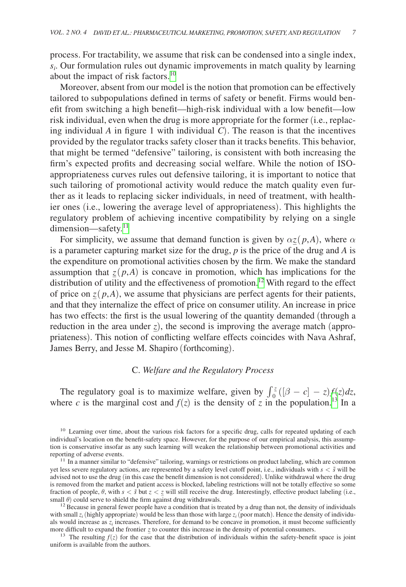<span id="page-8-0"></span>process. For tractability, we assume that risk can be condensed into a single index, *si* . Our formulation rules out dynamic improvements in match quality by learning about the impact of risk factors.<sup>[10](#page-8-1)</sup>

Moreover, absent from our model is the notion that promotion can be effectively tailored to subpopulations defined in terms of safety or benefit. Firms would benefit from switching a high benefit—high-risk individual with a low benefit—low risk individual, even when the drug is more appropriate for the former (i.e., replacing individual *A* in figure 1 with individual *C*). The reason is that the incentives provided by the regulator tracks safety closer than it tracks benefits. This behavior, that might be termed "defensive" tailoring, is consistent with both increasing the firm's expected profits and decreasing social welfare. While the notion of ISOappropriateness curves rules out defensive tailoring, it is important to notice that such tailoring of promotional activity would reduce the match quality even further as it leads to replacing sicker individuals, in need of treatment, with healthier ones (i.e., lowering the average level of appropriateness). This highlights the regulatory problem of achieving incentive compatibility by relying on a single dimension—safety. $11$ 

For simplicity, we assume that demand function is given by  $\alpha \leq (p, A)$ , where  $\alpha$ is a parameter capturing market size for the drug, *p* is the price of the drug and *A* is the expenditure on promotional activities chosen by the firm. We make the standard assumption that  $z(p,A)$  is concave in promotion, which has implications for the distribution of utility and the effectiveness of promotion.<sup>12</sup> With regard to the effect of price on  $z(p,A)$ , we assume that physicians are perfect agents for their patients, and that they internalize the effect of price on consumer utility. An increase in price has two effects: the first is the usual lowering of the quantity demanded (through a reduction in the area under  $\zeta$ ), the second is improving the average match (appropriateness). This notion of conflicting welfare effects coincides with Nava Ashraf, James Berry, and Jesse M. Shapiro (forthcoming).

#### C. *Welfare and the Regulatory Process*

The regulatory goal is to maximize welfare, given by  $\int_0^z ( [\beta - c] - z) f(z) dz$ , where *c* is the marginal cost and  $f(z)$  is the density of *z* in the population.<sup>13</sup> In a

<span id="page-8-1"></span><sup>10</sup> Learning over time, about the various risk factors for a specific drug, calls for repeated updating of each individual's location on the benefit-safety space. However, for the purpose of our empirical analysis, this assumption is conservative insofar as any such learning will weaken the relationship between promotional activities and

<span id="page-8-2"></span> $11$  In a manner similar to "defensive" tailoring, warnings or restrictions on product labeling, which are common yet less severe regulatory actions, are represented by a safety level cutoff point, i.e., individuals with  $s < \tilde{s}$  will be advised not to use the drug (in this case the benefit dimension is not considered). Unlike withdrawal where the drug is removed from the market and patient access is blocked, labeling restrictions will not be totally effective so some fraction of people,  $\theta$ , with  $s < \tilde{s}$  but  $z < z$  will still receive the drug. Interestingly, effective product labeling (i.e., small  $\theta$ ) could serve to shield the firm against drug withdrawals.<br><sup>12</sup> Because in general fewer people have a condition that is treated by a drug than not, the density of individuals

<span id="page-8-3"></span>with small  $z_i$  (highly appropriate) would be less than those with large  $z_i$  (poor match). Hence the density of individuals would increase as  $z_i$  increases. Therefore, for demand to be concave in promotion, it must become sufficiently

<span id="page-8-4"></span>more difficult to expand the frontier  $\zeta$  to counter this increase in the density of potential consumers.<br><sup>13</sup> The resulting  $f(z)$  for the case that the distribution of individuals within the safety-benefit space is joi uniform is available from the authors.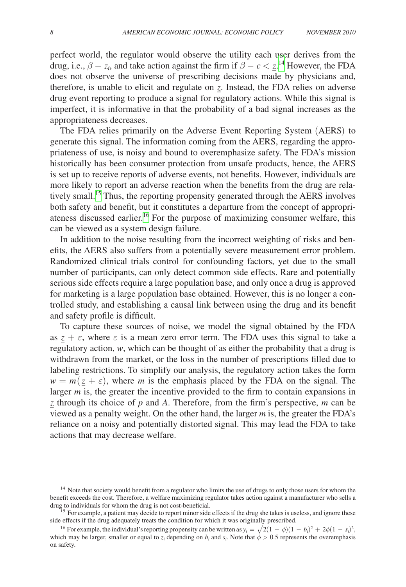perfect world, the regulator would observe the utility each user derives from the drug, i.e.,  $\beta - z_i$ , and take action against the firm if  $\beta - c < z$ <sup>14</sup> However, the FDA does not observe the universe of prescribing decisions made by physicians and, therefore, is unable to elicit and regulate on \_*z*. Instead, the FDA relies on adverse drug event reporting to produce a signal for regulatory actions. While this signal is imperfect, it is informative in that the probability of a bad signal increases as the appropriateness decreases.

The FDA relies primarily on the Adverse Event Reporting System (AERS) to generate this signal. The information coming from the AERS, regarding the appropriateness of use, is noisy and bound to overemphasize safety. The FDA's mission historically has been consumer protection from unsafe products, hence, the AERS is set up to receive reports of adverse events, not benefits. However, individuals are more likely to report an adverse reaction when the benefits from the drug are rela-tively small.<sup>[15](#page-9-1)</sup> Thus, the reporting propensity generated through the AERS involves both safety and benefit, but it constitutes a departure from the concept of appropriateness discussed earlier.<sup>16</sup> For the purpose of maximizing consumer welfare, this can be viewed as a system design failure.

In addition to the noise resulting from the incorrect weighting of risks and benefits, the AERS also suffers from a potentially severe measurement error problem. Randomized clinical trials control for confounding factors, yet due to the small number of participants, can only detect common side effects. Rare and potentially serious side effects require a large population base, and only once a drug is approved for marketing is a large population base obtained. However, this is no longer a controlled study, and establishing a causal link between using the drug and its benefit and safety profile is difficult.

To capture these sources of noise, we model the signal obtained by the FDA as  $z + \varepsilon$ , where  $\varepsilon$  is a mean zero error term. The FDA uses this signal to take a regulatory action, *w*, which can be thought of as either the probability that a drug is withdrawn from the market, or the loss in the number of prescriptions filled due to labeling restrictions. To simplify our analysis, the regulatory action takes the form  $w = m(\underline{z} + \epsilon)$ , where *m* is the emphasis placed by the FDA on the signal. The larger  $m$  is, the greater the incentive provided to the firm to contain expansions in \_*z* through its choice of *p* and *A*. Therefore, from the firm's perspective, *m* can be viewed as a penalty weight. On the other hand, the larger *m* is, the greater the FDA's reliance on a noisy and potentially distorted signal. This may lead the FDA to take actions that may decrease welfare.

<span id="page-9-0"></span><sup>&</sup>lt;sup>14</sup> Note that society would benefit from a regulator who limits the use of drugs to only those users for whom the benefit exceeds the cost. Therefore, a welfare maximizing regulator takes action against a manufacturer who sells a

<span id="page-9-2"></span><span id="page-9-1"></span><sup>&</sup>lt;sup>15</sup> For example, a patient may decide to report minor side effects if the drug she takes is useless, and ignore these side effects if the drug adequately treats the condition for which it was originally prescribed.

<sup>&</sup>lt;sup>16</sup> For example, the individual's reporting propensity can be written as  $y_i = \sqrt{\frac{16}{10}}$ against a manufacturer who sells a<br>he takes is useless, and ignore these<br>y prescribed.<br> $2(1 - \phi)(1 - b_i)^2 + 2\phi(1 - s_i)^2$ <br>> 0.5 represents the overemphasis  $2(1 - \phi)(1 - b_i)^2 + 2\phi(1 - s_i)^2$ , which may be larger, smaller or equal to  $z_i$  depending on  $b_i$  and  $s_i$ . Note that  $\phi > 0.5$  represents the overemphasis on safety.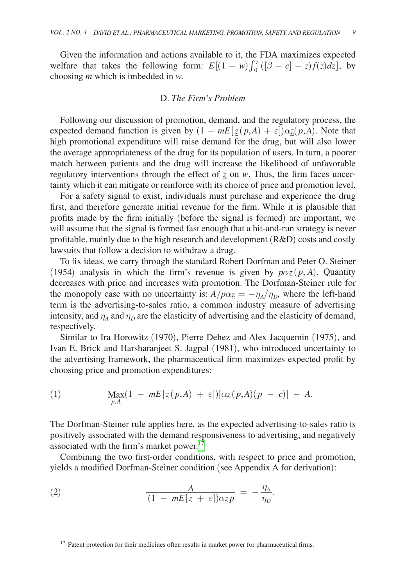<span id="page-10-0"></span>Given the information and actions available to it, the FDA maximizes expected welfare that takes the following form:  $E[(1 - w)\int_0^z ([\beta - c] - z)f(z)\,dz]$ , by choosing *m* which is imbedded in *w*.

#### D. *The Firm's Problem*

Following our discussion of promotion, demand, and the regulatory process, the expected demand function is given by  $(1 - mE[\underline{z}(p, A) + \varepsilon])\alpha \underline{z}(p, A)$ . Note that high promotional expenditure will raise demand for the drug, but will also lower the average appropriateness of the drug for its population of users. In turn, a poorer match between patients and the drug will increase the likelihood of unfavorable regulatory interventions through the effect of  $z$  on  $w$ . Thus, the firm faces uncertainty which it can mitigate or reinforce with its choice of price and promotion level.

For a safety signal to exist, individuals must purchase and experience the drug first, and therefore generate initial revenue for the firm. While it is plausible that profits made by the firm initially (before the signal is formed) are important, we will assume that the signal is formed fast enough that a hit-and-run strategy is never profitable, mainly due to the high research and development (R&D) costs and costly lawsuits that follow a decision to withdraw a drug.

To fix ideas, we carry through the standard Robert Dorfman and Peter O. Steiner (1954) analysis in which the firm's revenue is given by  $p\alpha \underline{z}(p, A)$ . Quantity decreases with price and increases with promotion. The Dorfman-Steiner rule for the monopoly case with no uncertainty is:  $A/p\alpha z = -\eta_A/\eta_D$ , where the left-hand term is the advertising-to-sales ratio, a common industry measure of advertising intensity, and  $\eta_A$  and  $\eta_D$  are the elasticity of advertising and the elasticity of demand, respectively.

Similar to Ira Horowitz (1970), Pierre Dehez and Alex Jacquemin (1975), and Ivan E. Brick and Harsharanjeet S. Jagpal (1981), who introduced uncertainty to the advertising framework, the pharmaceutical firm maximizes expected profit by choosing price and promotion expenditures:

(1) 
$$
\underset{p, A}{\text{Max}}\left(1 - mE[\underline{z}(p, A) + \varepsilon])[\alpha \underline{z}(p, A)(p - c)] - A.
$$

The Dorfman-Steiner rule applies here, as the expected advertising-to-sales ratio is positively associated with the demand responsiveness to advertising, and negatively associated with the firm's market power.<sup>17</sup>

Combining the two first-order conditions, with respect to price and promotion, yields a modified Dorfman-Steiner condition (see Appendix A for derivation):

associated with the limit's market power.

\nCombining the two first-order conditions, with respect to yields a modified Dorfman-Steiner condition (see Appendix 4)

\n(2)

\n
$$
\frac{A}{(1 - mE[\underline{z} + \varepsilon])\alpha \underline{z}p} = -\frac{\eta_A}{\eta_D}.
$$

<span id="page-10-1"></span><sup>&</sup>lt;sup>17</sup> Patent protection for their medicines often results in market power for pharmaceutical firms.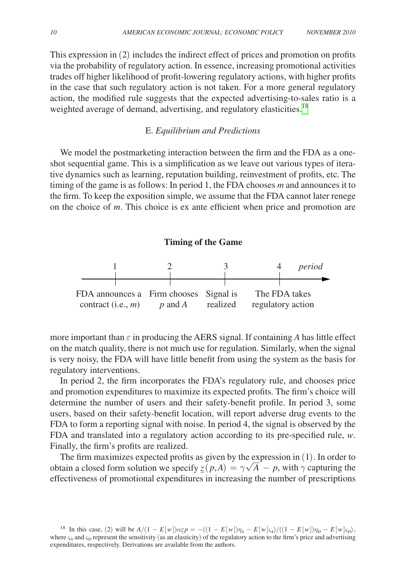<span id="page-11-0"></span>This expression in (2) includes the indirect effect of prices and promotion on profits via the probability of regulatory action. In essence, increasing promotional activities trades off higher likelihood of profit-lowering regulatory actions, with higher profits in the case that such regulatory action is not taken. For a more general regulatory action, the modified rule suggests that the expected advertising-to-sales ratio is a weighted average of demand, advertising, and regulatory elasticities.<sup>[18](#page-11-1)</sup>

# E. *Equilibrium and Predictions*

We model the postmarketing interaction between the firm and the FDA as a oneshot sequential game. This is a simplification as we leave out various types of iterative dynamics such as learning, reputation building, reinvestment of profits, etc. The timing of the game is as follows: In period 1, the FDA chooses *m* and announces it to the firm. To keep the exposition simple, we assume that the FDA cannot later renege on the choice of *m*. This choice is ex ante efficient when price and promotion are

#### **Timing of the Game**



more important than  $\varepsilon$  in producing the AERS signal. If containing A has little effect on the match quality, there is not much use for regulation. Similarly, when the signal is very noisy, the FDA will have little benefit from using the system as the basis for regulatory interventions.

In period 2, the firm incorporates the FDA's regulatory rule, and chooses price and promotion expenditures to maximize its expected profits. The firm's choice will determine the number of users and their safety-benefit profile. In period 3, some users, based on their safety-benefit location, will report adverse drug events to the FDA to form a reporting signal with noise. In period 4, the signal is observed by the FDA and translated into a regulatory action according to its pre-specified rule, *w*. Finally, the firm's profits are realized.

The firm maximizes expected profits as given by the expression in (1). In order to their a solvent form solveing we are site  $\epsilon(n, A)$ obtain a closed form solution we specify  $\underline{z}(p, A) = \gamma \sqrt{A} - p$ , with  $\gamma$  capturing the effectiveness of promotional expenditures in increasing the number of prescriptions

<span id="page-11-1"></span><sup>&</sup>lt;sup>18</sup> In this case, (2) will be  $A/(1 - E[w])\alpha_z p = -((1 - E[w])\eta_A - E[w]\varsigma_A)/( (1 - E[w])\eta_D - E[w]\varsigma_D),$ where  $\varsigma_A$  and  $\varsigma_D$  represent the sensitivity (as an elasticity) of the regulatory action to the firm's price and advertising expenditures, respectively. Derivations are available from the authors.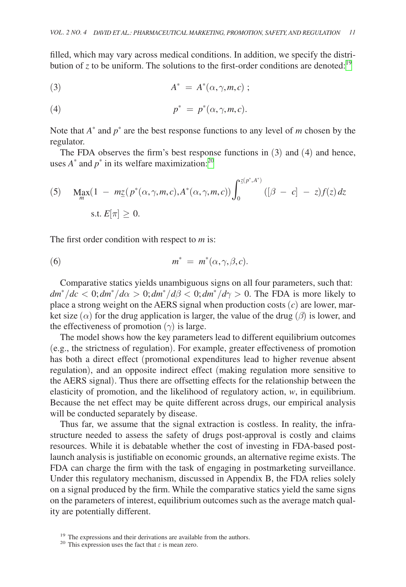filled, which may vary across medical conditions. In addition, we specify the distribution of  $\zeta$  to be uniform. The solutions to the first-order conditions are denoted:<sup>19</sup>

(3) 
$$
A^* = A^*(\alpha, \gamma, m, c);
$$

$$
(4) \t\t\t p^* = p^*(\alpha, \gamma, m, c).
$$

Note that  $A^*$  and  $p^*$  are the best response functions to any level of *m* chosen by the regulator.

The FDA observes the firm's best response functions in (3) and (4) and hence, uses  $A^*$  and  $p^*$  in its welfare maximization:<sup>[20](#page-12-1)</sup>

(5) 
$$
\operatorname{Max}_{m}(1 - m\underline{z}(p^*(\alpha, \gamma, m, c), A^*(\alpha, \gamma, m, c))) \int_0^{\underline{z}(p^*, A^*)} ([\beta - c] - z) f(z) dz
$$
  
s.t.  $E[\pi] \ge 0$ .

The first order condition with respect to *m* is:

(6) 
$$
m^* = m^*(\alpha, \gamma, \beta, c).
$$

Comparative statics yields unambiguous signs on all four parameters, such that:  $dm^*/dc < 0$ ;  $dm^*/d\alpha > 0$ ;  $dm^*/d\beta < 0$ ;  $dm^*/d\gamma > 0$ . The FDA is more likely to place a strong weight on the AERS signal when production costs (*c*) are lower, market size  $(\alpha)$  for the drug application is larger, the value of the drug  $(\beta)$  is lower, and the effectiveness of promotion  $(\gamma)$  is large.

The model shows how the key parameters lead to different equilibrium outcomes (e.g., the strictness of regulation). For example, greater effectiveness of promotion has both a direct effect (promotional expenditures lead to higher revenue absent regulation), and an opposite indirect effect (making regulation more sensitive to the AERS signal). Thus there are offsetting effects for the relationship between the elasticity of promotion, and the likelihood of regulatory action, *w*, in equilibrium. Because the net effect may be quite different across drugs, our empirical analysis will be conducted separately by disease.

Thus far, we assume that the signal extraction is costless. In reality, the infrastructure needed to assess the safety of drugs post-approval is costly and claims resources. While it is debatable whether the cost of investing in FDA-based postlaunch analysis is justifiable on economic grounds, an alternative regime exists. The FDA can charge the firm with the task of engaging in postmarketing surveillance. Under this regulatory mechanism, discussed in Appendix B, the FDA relies solely on a signal produced by the firm. While the comparative statics yield the same signs on the parameters of interest, equilibrium outcomes such as the average match quality are potentially different.

<span id="page-12-0"></span><sup>&</sup>lt;sup>19</sup> The expressions and their derivations are available from the authors. <sup>20</sup> This expression uses the fact that  $\varepsilon$  is mean zero.

<span id="page-12-1"></span>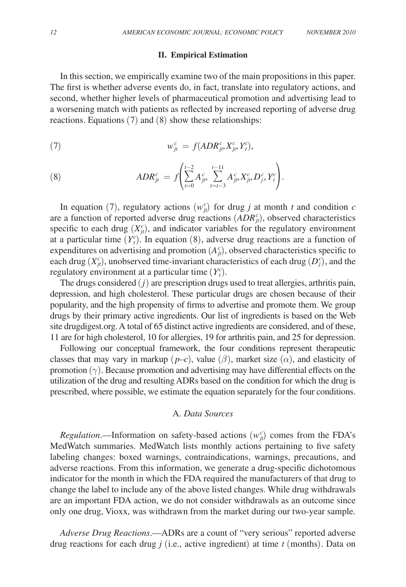#### **II. Empirical Estimation**

<span id="page-13-0"></span>In this section, we empirically examine two of the main propositions in this paper. The first is whether adverse events do, in fact, translate into regulatory actions, and second, whether higher levels of pharmaceutical promotion and advertising lead to a worsening match with patients as reflected by increased reporting of adverse drug reactions. Equations (7) and (8) show these relationships:

$$
w_{jt}^c = f(ADR_{jt}^c, X_{jt}^c, Y_{t}^c),
$$

(8) 
$$
ADR_{jt}^{c} = f\left(\sum_{t=0}^{t-2} A_{jt}^{c}, \sum_{t=t-3}^{t-11} A_{jt}^{c}, X_{jt}^{c}, D_{j}^{c}, Y_{t}^{c}\right).
$$

In equation (7), regulatory actions  $(w_j^c)$  for drug *j* at month *t* and condition *c* are a function of reported adverse drug reactions  $(ADR_{jt}^c)$ , observed characteristics specific to each drug  $(X_{jt}^c)$ , and indicator variables for the regulatory environment at a particular time  $(Y_t^c)$ . In equation (8), adverse drug reactions are a function of expenditures on advertising and promotion  $(A_{jl}^c)$ , observed characteristics specific to each drug  $(X_j^c)$ , unobserved time-invariant characteristics of each drug  $(D_j^c)$ , and the regulatory environment at a particular time  $(Y_t^c)$ .

The drugs considered (*j*) are prescription drugs used to treat allergies, arthritis pain, depression, and high cholesterol. These particular drugs are chosen because of their popularity, and the high propensity of firms to advertise and promote them. We group drugs by their primary active ingredients. Our list of ingredients is based on the Web site drugdigest.org. A total of 65 distinct active ingredients are considered, and of these, 11 are for high cholesterol, 10 for allergies, 19 for arthritis pain, and 25 for depression.

Following our conceptual framework, the four conditions represent therapeutic classes that may vary in markup ( $p-c$ ), value ( $\beta$ ), market size ( $\alpha$ ), and elasticity of promotion  $(\gamma)$ . Because promotion and advertising may have differential effects on the utilization of the drug and resulting ADRs based on the condition for which the drug is prescribed, where possible, we estimate the equation separately for the four conditions.

# A. *Data Sources*

*Regulation*.—Information on safety-based actions  $(w_{jt}^c)$  comes from the FDA's MedWatch summaries. MedWatch lists monthly actions pertaining to five safety labeling changes: boxed warnings, contraindications, warnings, precautions, and adverse reactions. From this information, we generate a drug-specific dichotomous indicator for the month in which the FDA required the manufacturers of that drug to change the label to include any of the above listed changes. While drug withdrawals are an important FDA action, we do not consider withdrawals as an outcome since only one drug, Vioxx, was withdrawn from the market during our two-year sample.

*Adverse Drug Reactions*.—ADRs are a count of "very serious" reported adverse drug reactions for each drug *j* (i.e., active ingredient) at time *t* (months). Data on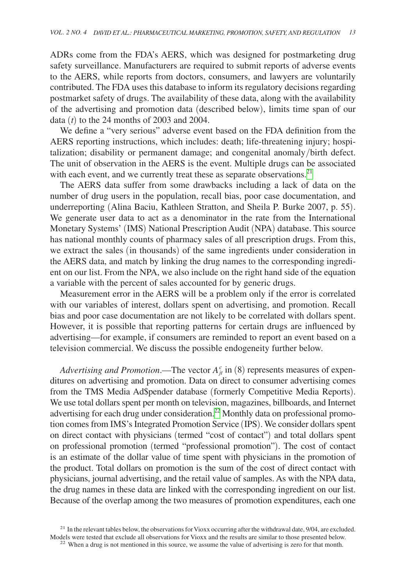ADRs come from the FDA's AERS, which was designed for postmarketing drug safety surveillance. Manufacturers are required to submit reports of adverse events to the AERS, while reports from doctors, consumers, and lawyers are voluntarily contributed. The FDA uses this database to inform its regulatory decisions regarding postmarket safety of drugs. The availability of these data, along with the availability of the advertising and promotion data (described below), limits time span of our data (*t*) to the 24 months of 2003 and 2004.

We define a "very serious" adverse event based on the FDA definition from the AERS reporting instructions, which includes: death; life-threatening injury; hospitalization; disability or permanent damage; and congenital anomaly/birth defect. The unit of observation in the AERS is the event. Multiple drugs can be associated with each event, and we currently treat these as separate observations.<sup>21</sup>

The AERS data suffer from some drawbacks including a lack of data on the number of drug users in the population, recall bias, poor case documentation, and underreporting (Alina Baciu, Kathleen Stratton, and Sheila P. Burke 2007, p. 55). We generate user data to act as a denominator in the rate from the International Monetary Systems' (IMS) National Prescription Audit (NPA) database. This source has national monthly counts of pharmacy sales of all prescription drugs. From this, we extract the sales (in thousands) of the same ingredients under consideration in the AERS data, and match by linking the drug names to the corresponding ingredient on our list. From the NPA, we also include on the right hand side of the equation a variable with the percent of sales accounted for by generic drugs.

Measurement error in the AERS will be a problem only if the error is correlated with our variables of interest, dollars spent on advertising, and promotion. Recall bias and poor case documentation are not likely to be correlated with dollars spent. However, it is possible that reporting patterns for certain drugs are influenced by advertising—for example, if consumers are reminded to report an event based on a television commercial. We discuss the possible endogeneity further below.

*Advertising and Promotion*.—The vector  $A_{jt}^c$  in (8) represents measures of expenditures on advertising and promotion. Data on direct to consumer advertising comes from the TMS Media Ad\$pender database (formerly Competitive Media Reports). We use total dollars spent per month on television, magazines, billboards, and Internet advertising for each drug under consideration.<sup>22</sup> Monthly data on professional promotion comes from IMS's Integrated Promotion Service (IPS). We consider dollars spent on direct contact with physicians (termed "cost of contact") and total dollars spent on professional promotion (termed "professional promotion"). The cost of contact is an estimate of the dollar value of time spent with physicians in the promotion of the product. Total dollars on promotion is the sum of the cost of direct contact with physicians, journal advertising, and the retail value of samples. As with the NPA data, the drug names in these data are linked with the corresponding ingredient on our list. Because of the overlap among the two measures of promotion expenditures, each one

<span id="page-14-0"></span><sup>21</sup> In the relevant tables below, the observations for Vioxx occurring after the withdrawal date,  $9/04$ , are excluded. Models were tested that exclude all observations for Vioxx and the results are similar to those pres

<span id="page-14-1"></span><sup>22</sup> When a drug is not mentioned in this source, we assume the value of advertising is zero for that month.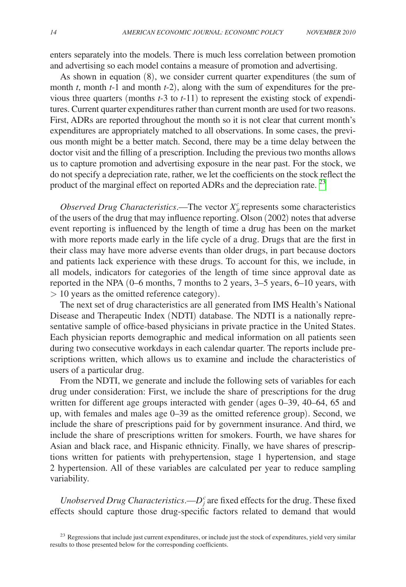enters separately into the models. There is much less correlation between promotion and advertising so each model contains a measure of promotion and advertising.

As shown in equation (8), we consider current quarter expenditures (the sum of month *t*, month *t*-1 and month *t*-2), along with the sum of expenditures for the previous three quarters (months *t*-3 to *t*-11) to represent the existing stock of expenditures. Current quarter expenditures rather than current month are used for two reasons. First, ADRs are reported throughout the month so it is not clear that current month's expenditures are appropriately matched to all observations. In some cases, the previous month might be a better match. Second, there may be a time delay between the doctor visit and the filling of a prescription. Including the previous two months allows us to capture promotion and advertising exposure in the near past. For the stock, we do not specify a depreciation rate, rather, we let the coefficients on the stock reflect the product of the marginal effect on reported ADRs and the depreciation rate.<sup>[23](#page-15-0)</sup>

*Observed Drug Characteristics*.—The vector  $X_{jt}^c$  represents some characteristics of the users of the drug that may influence reporting. Olson (2002) notes that adverse event reporting is influenced by the length of time a drug has been on the market with more reports made early in the life cycle of a drug. Drugs that are the first in their class may have more adverse events than older drugs, in part because doctors and patients lack experience with these drugs. To account for this, we include, in all models, indicators for categories of the length of time since approval date as reported in the NPA (0–6 months, 7 months to 2 years, 3–5 years, 6–10 years, with > 10 years as the omitted reference category).

The next set of drug characteristics are all generated from IMS Health's National Disease and Therapeutic Index (NDTI) database. The NDTI is a nationally representative sample of office-based physicians in private practice in the United States. Each physician reports demographic and medical information on all patients seen during two consecutive workdays in each calendar quarter. The reports include prescriptions written, which allows us to examine and include the characteristics of users of a particular drug.

From the NDTI, we generate and include the following sets of variables for each drug under consideration: First, we include the share of prescriptions for the drug written for different age groups interacted with gender (ages 0–39, 40–64, 65 and up, with females and males age 0–39 as the omitted reference group). Second, we include the share of prescriptions paid for by government insurance. And third, we include the share of prescriptions written for smokers. Fourth, we have shares for Asian and black race, and Hispanic ethnicity. Finally, we have shares of prescriptions written for patients with prehypertension, stage 1 hypertension, and stage 2 hypertension. All of these variables are calculated per year to reduce sampling variability.

*Unobserved Drug Characteristics.—D* $^c_j$  are fixed effects for the drug. These fixed effects should capture those drug-specific factors related to demand that would

<span id="page-15-0"></span><sup>23</sup> Regressions that include just current expenditures, or include just the stock of expenditures, yield very similar results to those presented below for the corresponding coefficients.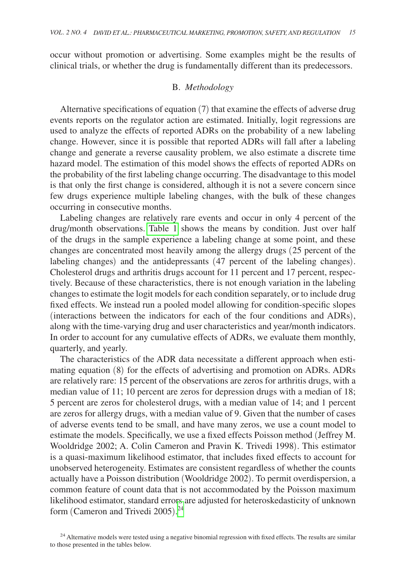<span id="page-16-0"></span>occur without promotion or advertising. Some examples might be the results of clinical trials, or whether the drug is fundamentally different than its predecessors.

#### B. *Methodology*

Alternative specifications of equation (7) that examine the effects of adverse drug events reports on the regulator action are estimated. Initially, logit regressions are used to analyze the effects of reported ADRs on the probability of a new labeling change. However, since it is possible that reported ADRs will fall after a labeling change and generate a reverse causality problem, we also estimate a discrete time hazard model. The estimation of this model shows the effects of reported ADRs on the probability of the first labeling change occurring. The disadvantage to this model is that only the first change is considered, although it is not a severe concern since few drugs experience multiple labeling changes, with the bulk of these changes occurring in consecutive months.

Labeling changes are relatively rare events and occur in only 4 percent of the drug/month observations. [Table 1](#page-17-0) shows the means by condition. Just over half of the drugs in the sample experience a labeling change at some point, and these changes are concentrated most heavily among the allergy drugs (25 percent of the labeling changes) and the antidepressants (47 percent of the labeling changes). Cholesterol drugs and arthritis drugs account for 11 percent and 17 percent, respectively. Because of these characteristics, there is not enough variation in the labeling changes to estimate the logit models for each condition separately, or to include drug fixed effects. We instead run a pooled model allowing for condition-specific slopes (interactions between the indicators for each of the four conditions and ADRs), along with the time-varying drug and user characteristics and year/month indicators. In order to account for any cumulative effects of ADRs, we evaluate them monthly, quarterly, and yearly.

The characteristics of the ADR data necessitate a different approach when estimating equation (8) for the effects of advertising and promotion on ADRs. ADRs are relatively rare: 15 percent of the observations are zeros for arthritis drugs, with a median value of 11; 10 percent are zeros for depression drugs with a median of 18; 5 percent are zeros for cholesterol drugs, with a median value of 14; and 1 percent are zeros for allergy drugs, with a median value of 9. Given that the number of cases of adverse events tend to be small, and have many zeros, we use a count model to estimate the models. Specifically, we use a fixed effects Poisson method (Jeffrey M. Wooldridge 2002; A. Colin Cameron and Pravin K. Trivedi 1998). This estimator is a quasi-maximum likelihood estimator, that includes fixed effects to account for unobserved heterogeneity. Estimates are consistent regardless of whether the counts actually have a Poisson distribution (Wooldridge 2002). To permit overdispersion, a common feature of count data that is not accommodated by the Poisson maximum likelihood estimator, standard errors are adjusted for heteroskedasticity of unknown form (Cameron and Trivedi 2005). [24](#page-16-1)

<span id="page-16-1"></span><sup>&</sup>lt;sup>24</sup> Alternative models were tested using a negative binomial regression with fixed effects. The results are similar to those presented in the tables below.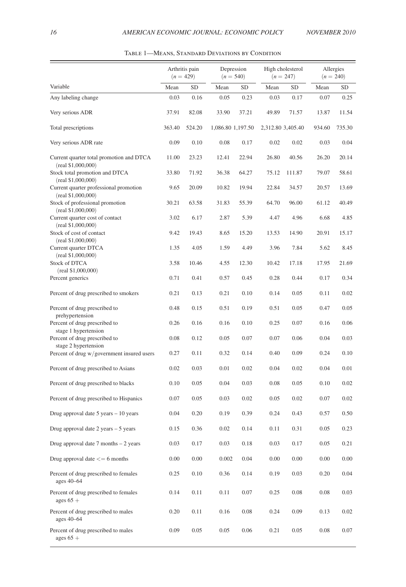<span id="page-17-0"></span>

|                                                                         |        | Arthritis pain<br>$(n = 429)$ | Depression<br>$(n = 540)$ |       | High cholesterol<br>$(n = 247)$ |           | Allergies<br>$(n = 240)$ |           |
|-------------------------------------------------------------------------|--------|-------------------------------|---------------------------|-------|---------------------------------|-----------|--------------------------|-----------|
| Variable                                                                | Mean   | <b>SD</b>                     | Mean                      | SD    | Mean                            | <b>SD</b> | Mean                     | <b>SD</b> |
| Any labeling change                                                     | 0.03   | 0.16                          | 0.05                      | 0.23  | 0.03                            | 0.17      | 0.07                     | 0.25      |
| Very serious ADR                                                        | 37.91  | 82.08                         | 33.90                     | 37.21 | 49.89                           | 71.57     | 13.87                    | 11.54     |
| Total prescriptions                                                     | 363.40 | 524.20                        | 1,086.80 1,197.50         |       | 2,312.80 3,405.40               |           | 934.60                   | 735.30    |
| Very serious ADR rate                                                   | 0.09   | 0.10                          | 0.08                      | 0.17  | 0.02                            | 0.02      | 0.03                     | 0.04      |
| Current quarter total promotion and DTCA<br>$(\text{real } $1,000,000)$ | 11.00  | 23.23                         | 12.41                     | 22.94 | 26.80                           | 40.56     | 26.20                    | 20.14     |
| Stock total promotion and DTCA<br>$(\text{real } $1,000,000)$           | 33.80  | 71.92                         | 36.38                     | 64.27 | 75.12                           | 111.87    | 79.07                    | 58.61     |
| Current quarter professional promotion<br>$(\text{real } $1,000,000)$   | 9.65   | 20.09                         | 10.82                     | 19.94 | 22.84                           | 34.57     | 20.57                    | 13.69     |
| Stock of professional promotion<br>$(\text{real } $1,000,000)$          | 30.21  | 63.58                         | 31.83                     | 55.39 | 64.70                           | 96.00     | 61.12                    | 40.49     |
| Current quarter cost of contact<br>$_{\rm (real\ \$1,000,000)}$         | 3.02   | 6.17                          | 2.87                      | 5.39  | 4.47                            | 4.96      | 6.68                     | 4.85      |
| Stock of cost of contact<br>$(\text{real } $1,000,000)$                 | 9.42   | 19.43                         | 8.65                      | 15.20 | 13.53                           | 14.90     | 20.91                    | 15.17     |
| Current quarter DTCA<br>$_{\rm (real\ \$1,000,000)}$                    | 1.35   | 4.05                          | 1.59                      | 4.49  | 3.96                            | 7.84      | 5.62                     | 8.45      |
| <b>Stock of DTCA</b>                                                    | 3.58   | 10.46                         | 4.55                      | 12.30 | 10.42                           | 17.18     | 17.95                    | 21.69     |
| $(\text{real } $1,000,000)$<br>Percent generics                         | 0.71   | 0.41                          | 0.57                      | 0.45  | 0.28                            | 0.44      | 0.17                     | 0.34      |
| Percent of drug prescribed to smokers                                   | 0.21   | 0.13                          | 0.21                      | 0.10  | 0.14                            | 0.05      | 0.11                     | 0.02      |
| Percent of drug prescribed to<br>prehypertension                        | 0.48   | 0.15                          | 0.51                      | 0.19  | 0.51                            | 0.05      | 0.47                     | 0.05      |
| Percent of drug prescribed to                                           | 0.26   | 0.16                          | 0.16                      | 0.10  | 0.25                            | 0.07      | 0.16                     | 0.06      |
| stage 1 hypertension<br>Percent of drug prescribed to                   | 0.08   | 0.12                          | 0.05                      | 0.07  | 0.07                            | 0.06      | 0.04                     | 0.03      |
| stage 2 hypertension<br>Percent of drug $w/g\novernment$ insured users  | 0.27   | 0.11                          | 0.32                      | 0.14  | 0.40                            | 0.09      | 0.24                     | 0.10      |
| Percent of drug prescribed to Asians                                    | 0.02   | 0.03                          | 0.01                      | 0.02  | 0.04                            | 0.02      | 0.04                     | 0.01      |
| Percent of drug prescribed to blacks                                    | 0.10   | 0.05                          | 0.04                      | 0.03  | 0.08                            | 0.05      | 0.10                     | 0.02      |
| Percent of drug prescribed to Hispanics                                 | 0.07   | 0.05                          | 0.03                      | 0.02  | 0.05                            | 0.02      | 0.07                     | 0.02      |
| Drug approval date $5$ years $-10$ years                                | 0.04   | 0.20                          | 0.19                      | 0.39  | 0.24                            | 0.43      | 0.57                     | 0.50      |
| Drug approval date $2$ years $-5$ years                                 | 0.15   | 0.36                          | 0.02                      | 0.14  | 0.11                            | 0.31      | 0.05                     | 0.23      |
| Drug approval date $7$ months $-2$ years                                | 0.03   | 0.17                          | 0.03                      | 0.18  | 0.03                            | 0.17      | 0.05                     | 0.21      |
| Drug approval date $<= 6$ months                                        | 0.00   | 0.00                          | 0.002                     | 0.04  | 0.00                            | 0.00      | 0.00                     | 0.00      |
| Percent of drug prescribed to females<br>ages 40-64                     | 0.25   | 0.10                          | 0.36                      | 0.14  | 0.19                            | 0.03      | 0.20                     | 0.04      |
| Percent of drug prescribed to females<br>ages $65 +$                    | 0.14   | 0.11                          | 0.11                      | 0.07  | 0.25                            | 0.08      | 0.08                     | 0.03      |
| Percent of drug prescribed to males<br>ages 40-64                       | 0.20   | 0.11                          | 0.16                      | 0.08  | 0.24                            | 0.09      | 0.13                     | 0.02      |
| Percent of drug prescribed to males<br>ages $65 +$                      | 0.09   | 0.05                          | 0.05                      | 0.06  | 0.21                            | 0.05      | 0.08                     | 0.07      |

Table 1—Means, Standard Deviations by Condition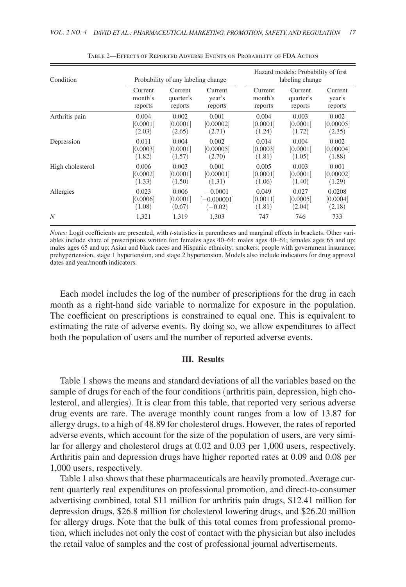<span id="page-18-0"></span>

| Condition        |          | Probability of any labeling change |             |          | Hazard models: Probability of first<br>labeling change |           |  |  |
|------------------|----------|------------------------------------|-------------|----------|--------------------------------------------------------|-----------|--|--|
|                  | Current  | Current                            | Current     | Current  | Current                                                | Current   |  |  |
|                  | month's  | quarter's                          | year's      | month's  | quarter's                                              | year's    |  |  |
|                  | reports  | reports                            | reports     | reports  | reports                                                | reports   |  |  |
| Arthritis pain   | 0.004    | 0.002                              | 0.001       | 0.004    | 0.003                                                  | 0.002     |  |  |
|                  | [0.0001] | [0.0001]                           | [0.00002]   | [0.0001] | [0.0001]                                               | [0.00005] |  |  |
|                  | (2.03)   | (2.65)                             | (2.71)      | (1.24)   | (1.72)                                                 | (2.35)    |  |  |
| Depression       | 0.011    | 0.004                              | 0.002       | 0.014    | 0.004                                                  | 0.002     |  |  |
|                  | [0.0003] | [0.0001]                           | [0.00005]   | [0.0003] | [0.0001]                                               | [0.00004] |  |  |
|                  | (1.82)   | (1.57)                             | (2.70)      | (1.81)   | (1.05)                                                 | (1.88)    |  |  |
| High cholesterol | 0.006    | 0.003                              | 0.001       | 0.005    | 0.003                                                  | 0.001     |  |  |
|                  | [0.0002] | [0.0001]                           | [0.00001]   | [0.0001] | [0.0001]                                               | [0.00002] |  |  |
|                  | (1.33)   | (1.50)                             | (1.31)      | (1.06)   | (1.40)                                                 | (1.29)    |  |  |
| Allergies        | 0.023    | 0.006                              | $-0.0001$   | 0.049    | 0.027                                                  | 0.0208    |  |  |
|                  | [0.0006] | 0.0001                             | $-0.000001$ | 0.0011   | [0.0005]                                               | [0.0004]  |  |  |
|                  | (1.08)   | (0.67)                             | $-0.02)$    | (1.81)   | (2.04)                                                 | (2.18)    |  |  |
| N                | 1,321    | 1,319                              | 1,303       | 747      | 746                                                    | 733       |  |  |

Table 2—Effects of Reported Adverse Events on Probability of FDA Action

*Notes:* Logit coefficients are presented, with *t*-statistics in parentheses and marginal effects in brackets. Other variables include share of prescriptions written for: females ages 40–64; males ages 40–64; females ages 65 and up; males ages 65 and up; Asian and black races and Hispanic ethnicity; smokers; people with government insurance; prehypertension, stage 1 hypertension, and stage 2 hypertension. Models also include indicators for drug approval dates and year/month indicators.

Each model includes the log of the number of prescriptions for the drug in each month as a right-hand side variable to normalize for exposure in the population. The coefficient on prescriptions is constrained to equal one. This is equivalent to estimating the rate of adverse events. By doing so, we allow expenditures to affect both the population of users and the number of reported adverse events.

#### **III. Results**

Table 1 shows the means and standard deviations of all the variables based on the sample of drugs for each of the four conditions (arthritis pain, depression, high cholesterol, and allergies). It is clear from this table, that reported very serious adverse drug events are rare. The average monthly count ranges from a low of 13.87 for allergy drugs, to a high of 48.89 for cholesterol drugs. However, the rates of reported adverse events, which account for the size of the population of users, are very similar for allergy and cholesterol drugs at 0.02 and 0.03 per 1,000 users, respectively. Arthritis pain and depression drugs have higher reported rates at 0.09 and 0.08 per 1,000 users, respectively.

Table 1 also shows that these pharmaceuticals are heavily promoted. Average current quarterly real expenditures on professional promotion, and direct-to-consumer advertising combined, total \$11 million for arthritis pain drugs, \$12.41 million for depression drugs, \$26.8 million for cholesterol lowering drugs, and \$26.20 million for allergy drugs. Note that the bulk of this total comes from professional promotion, which includes not only the cost of contact with the physician but also includes the retail value of samples and the cost of professional journal advertisements.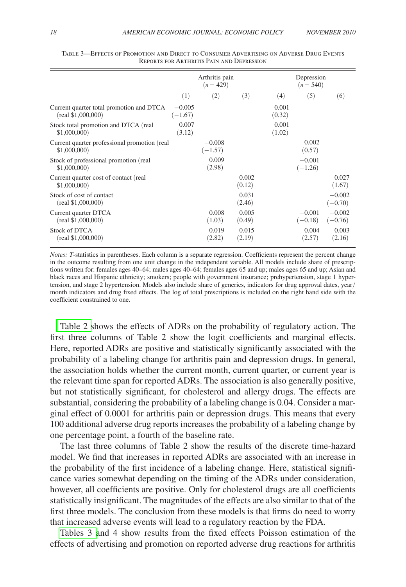|                                                                         | Arthritis pain<br>$(n = 429)$ |                       |                 | Depression<br>$(n = 540)$ |                       |                       |  |
|-------------------------------------------------------------------------|-------------------------------|-----------------------|-----------------|---------------------------|-----------------------|-----------------------|--|
|                                                                         | (1)                           | (2)                   | (3)             | (4)                       | (5)                   | (6)                   |  |
| Current quarter total promotion and DTCA<br>$(\text{real } $1,000,000)$ | $-0.005$<br>$(-1.67)$         |                       |                 | 0.001<br>(0.32)           |                       |                       |  |
| Stock total promotion and DTCA (real<br>\$1,000,000                     | 0.007<br>(3.12)               |                       |                 | 0.001<br>(1.02)           |                       |                       |  |
| Current quarter professional promotion (real<br>\$1,000,000)            |                               | $-0.008$<br>$(-1.57)$ |                 |                           | 0.002<br>(0.57)       |                       |  |
| Stock of professional promotion (real<br>\$1,000,000                    |                               | 0.009<br>(2.98)       |                 |                           | $-0.001$<br>$(-1.26)$ |                       |  |
| Current quarter cost of contact (real<br>\$1,000,000                    |                               |                       | 0.002<br>(0.12) |                           |                       | 0.027<br>(1.67)       |  |
| Stock of cost of contact<br>$(\text{real } $1,000,000)$                 |                               |                       | 0.031<br>(2.46) |                           |                       | $-0.002$<br>$(-0.70)$ |  |
| Current quarter DTCA<br>(real \$1,000,000)                              |                               | 0.008<br>(1.03)       | 0.005<br>(0.49) |                           | $-0.001$<br>$(-0.18)$ | $-0.002$<br>$(-0.76)$ |  |
| Stock of DTCA<br>$(\text{real } $1,000,000)$                            |                               | 0.019<br>(2.82)       | 0.015<br>(2.19) |                           | 0.004<br>(2.57)       | 0.003<br>(2.16)       |  |

Table 3—Effects of Promotion and Direct to Consumer Advertising on Adverse Drug Events Reports for Arthritis Pain and Depression

*Notes: T*-statistics in parentheses. Each column is a separate regression. Coefficients represent the percent change in the outcome resulting from one unit change in the independent variable. All models include share of prescriptions written for: females ages 40–64; males ages 40–64; females ages 65 and up; males ages 65 and up; Asian and black races and Hispanic ethnicity; smokers; people with government insurance; prehypertension, stage 1 hypertension, and stage 2 hypertension. Models also include share of generics, indicators for drug approval dates, year/ month indicators and drug fixed effects. The log of total prescriptions is included on the right hand side with the coefficient constrained to one.

[Table 2 s](#page-18-0)hows the effects of ADRs on the probability of regulatory action. The first three columns of Table 2 show the logit coefficients and marginal effects. Here, reported ADRs are positive and statistically significantly associated with the probability of a labeling change for arthritis pain and depression drugs. In general, the association holds whether the current month, current quarter, or current year is the relevant time span for reported ADRs. The association is also generally positive, but not statistically significant, for cholesterol and allergy drugs. The effects are substantial, considering the probability of a labeling change is 0.04. Consider a marginal effect of 0.0001 for arthritis pain or depression drugs. This means that every 100 additional adverse drug reports increases the probability of a labeling change by one percentage point, a fourth of the baseline rate.

The last three columns of Table 2 show the results of the discrete time-hazard model. We find that increases in reported ADRs are associated with an increase in the probability of the first incidence of a labeling change. Here, statistical significance varies somewhat depending on the timing of the ADRs under consideration, however, all coefficients are positive. Only for cholesterol drugs are all coefficients statistically insignificant. The magnitudes of the effects are also similar to that of the first three models. The conclusion from these models is that firms do need to worry that increased adverse events will lead to a regulatory reaction by the FDA.

Tables 3 and 4 show results from the fixed effects Poisson estimation of the effects of advertising and promotion on reported adverse drug reactions for arthritis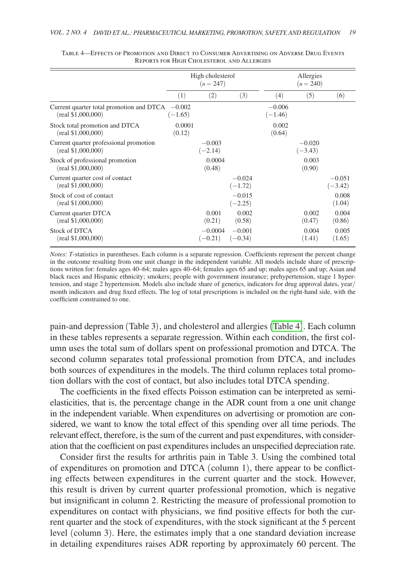|                                                                                  | High cholesterol<br>$(n = 247)$ |                       |                       | Allergies<br>$(n = 240)$ |                       |                       |
|----------------------------------------------------------------------------------|---------------------------------|-----------------------|-----------------------|--------------------------|-----------------------|-----------------------|
|                                                                                  | $\left(1\right)$                | $\left( 2\right)$     | (3)                   | (4)                      | (5)                   | (6)                   |
| Current quarter total promotion and DTCA $-0.002$<br>$(\text{real } $1,000,000)$ | $(-1.65)$                       |                       |                       | $-0.006$<br>$(-1.46)$    |                       |                       |
| Stock total promotion and DTCA<br>$(\text{real } $1,000,000)$                    | 0.0001<br>(0.12)                |                       |                       | 0.002<br>(0.64)          |                       |                       |
| Current quarter professional promotion<br>$(\text{real } $1,000,000)$            |                                 | $-0.003$<br>$(-2.14)$ |                       |                          | $-0.020$<br>$(-3.43)$ |                       |
| Stock of professional promotion<br>$(\text{real } $1,000,000)$                   |                                 | 0.0004<br>(0.48)      |                       |                          | 0.003<br>(0.90)       |                       |
| Current quarter cost of contact<br>(real \$1,000,000)                            |                                 |                       | $-0.024$<br>$(-1.72)$ |                          |                       | $-0.051$<br>$(-3.42)$ |
| Stock of cost of contact<br>$(\text{real } $1,000,000)$                          |                                 |                       | $-0.015$<br>$(-2.25)$ |                          |                       | 0.008<br>(1.04)       |
| Current quarter DTCA<br>$(\text{real } $1,000,000)$                              |                                 | 0.001<br>(0.21)       | 0.002<br>(0.58)       |                          | 0.002<br>(0.47)       | 0.004<br>(0.86)       |
| Stock of DTCA<br>$(\text{real } $1,000,000)$                                     |                                 | $-0.0004$<br>$-0.21$  | $-0.001$<br>$(-0.34)$ |                          | 0.004<br>(1.41)       | 0.005<br>(1.65)       |

Table 4—Effects of Promotion and Direct to Consumer Advertising on Adverse Drug Events Reports for High Cholesterol and Allergies

*Notes*: *T*-statistics in parentheses. Each column is a separate regression. Coefficients represent the percent change in the outcome resulting from one unit change in the independent variable. All models include share of prescriptions written for: females ages 40–64; males ages 40–64; females ages 65 and up; males ages 65 and up; Asian and black races and Hispanic ethnicity; smokers; people with government insurance; prehypertension, stage 1 hypertension, and stage 2 hypertension. Models also include share of generics, indicators for drug approval dates, year/ month indicators and drug fixed effects. The log of total prescriptions is included on the right-hand side, with the coefficient constrained to one.

pain-and depression (Table 3), and cholesterol and allergies (Table 4). Each column in these tables represents a separate regression. Within each condition, the first column uses the total sum of dollars spent on professional promotion and DTCA. The second column separates total professional promotion from DTCA, and includes both sources of expenditures in the models. The third column replaces total promotion dollars with the cost of contact, but also includes total DTCA spending.

The coefficients in the fixed effects Poisson estimation can be interpreted as semielasticities, that is, the percentage change in the ADR count from a one unit change in the independent variable. When expenditures on advertising or promotion are considered, we want to know the total effect of this spending over all time periods. The relevant effect, therefore, is the sum of the current and past expenditures, with consideration that the coefficient on past expenditures includes an unspecified depreciation rate.

Consider first the results for arthritis pain in Table 3. Using the combined total of expenditures on promotion and DTCA (column 1), there appear to be conflicting effects between expenditures in the current quarter and the stock. However, this result is driven by current quarter professional promotion, which is negative but insignificant in column 2. Restricting the measure of professional promotion to expenditures on contact with physicians, we find positive effects for both the current quarter and the stock of expenditures, with the stock significant at the 5 percent level (column 3). Here, the estimates imply that a one standard deviation increase in detailing expenditures raises ADR reporting by approximately 60 percent. The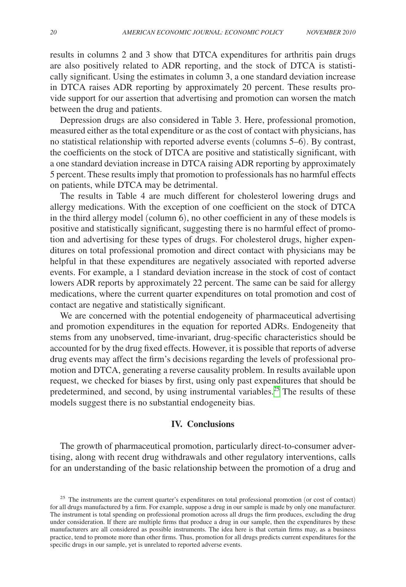<span id="page-21-0"></span>results in columns 2 and 3 show that DTCA expenditures for arthritis pain drugs are also positively related to ADR reporting, and the stock of DTCA is statistically significant. Using the estimates in column 3, a one standard deviation increase in DTCA raises ADR reporting by approximately 20 percent. These results provide support for our assertion that advertising and promotion can worsen the match between the drug and patients.

Depression drugs are also considered in Table 3. Here, professional promotion, measured either as the total expenditure or as the cost of contact with physicians, has no statistical relationship with reported adverse events (columns 5–6). By contrast, the coefficients on the stock of DTCA are positive and statistically significant, with a one standard deviation increase in DTCA raising ADR reporting by approximately 5 percent. These results imply that promotion to professionals has no harmful effects on patients, while DTCA may be detrimental.

The results in Table 4 are much different for cholesterol lowering drugs and allergy medications. With the exception of one coefficient on the stock of DTCA in the third allergy model (column 6), no other coefficient in any of these models is positive and statistically significant, suggesting there is no harmful effect of promotion and advertising for these types of drugs. For cholesterol drugs, higher expenditures on total professional promotion and direct contact with physicians may be helpful in that these expenditures are negatively associated with reported adverse events. For example, a 1 standard deviation increase in the stock of cost of contact lowers ADR reports by approximately 22 percent. The same can be said for allergy medications, where the current quarter expenditures on total promotion and cost of contact are negative and statistically significant.

We are concerned with the potential endogeneity of pharmaceutical advertising and promotion expenditures in the equation for reported ADRs. Endogeneity that stems from any unobserved, time-invariant, drug-specific characteristics should be accounted for by the drug fixed effects. However, it is possible that reports of adverse drug events may affect the firm's decisions regarding the levels of professional promotion and DTCA, generating a reverse causality problem. In results available upon request, we checked for biases by first, using only past expenditures that should be predetermined, and second, by using instrumental variables.<sup>[25](#page-21-1)</sup> The results of these models suggest there is no substantial endogeneity bias.

# **IV. Conclusions**

The growth of pharmaceutical promotion, particularly direct-to-consumer advertising, along with recent drug withdrawals and other regulatory interventions, calls for an understanding of the basic relationship between the promotion of a drug and

<span id="page-21-1"></span><sup>&</sup>lt;sup>25</sup> The instruments are the current quarter's expenditures on total professional promotion (or cost of contact) for all drugs manufactured by a firm. For example, suppose a drug in our sample is made by only one manufacturer. The instrument is total spending on professional promotion across all drugs the firm produces, excluding the drug under consideration. If there are multiple firms that produce a drug in our sample, then the expenditures by these manufacturers are all considered as possible instruments. The idea here is that certain firms may, as a business practice, tend to promote more than other firms. Thus, promotion for all drugs predicts current expenditures for the specific drugs in our sample, yet is unrelated to reported adverse events.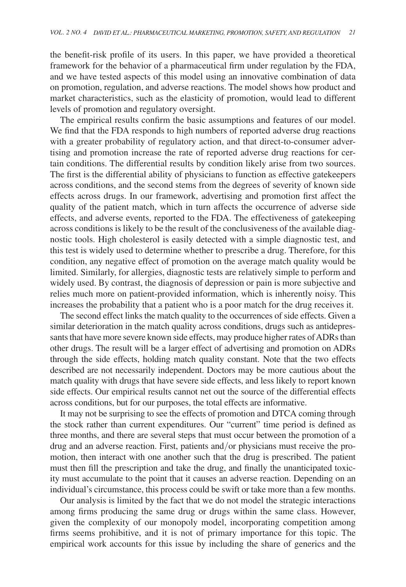the benefit-risk profile of its users. In this paper, we have provided a theoretical framework for the behavior of a pharmaceutical firm under regulation by the FDA, and we have tested aspects of this model using an innovative combination of data on promotion, regulation, and adverse reactions. The model shows how product and market characteristics, such as the elasticity of promotion, would lead to different levels of promotion and regulatory oversight.

The empirical results confirm the basic assumptions and features of our model. We find that the FDA responds to high numbers of reported adverse drug reactions with a greater probability of regulatory action, and that direct-to-consumer advertising and promotion increase the rate of reported adverse drug reactions for certain conditions. The differential results by condition likely arise from two sources. The first is the differential ability of physicians to function as effective gatekeepers across conditions, and the second stems from the degrees of severity of known side effects across drugs. In our framework, advertising and promotion first affect the quality of the patient match, which in turn affects the occurrence of adverse side effects, and adverse events, reported to the FDA. The effectiveness of gatekeeping across conditions is likely to be the result of the conclusiveness of the available diagnostic tools. High cholesterol is easily detected with a simple diagnostic test, and this test is widely used to determine whether to prescribe a drug. Therefore, for this condition, any negative effect of promotion on the average match quality would be limited. Similarly, for allergies, diagnostic tests are relatively simple to perform and widely used. By contrast, the diagnosis of depression or pain is more subjective and relies much more on patient-provided information, which is inherently noisy. This increases the probability that a patient who is a poor match for the drug receives it.

The second effect links the match quality to the occurrences of side effects. Given a similar deterioration in the match quality across conditions, drugs such as antidepressants that have more severe known side effects, may produce higher rates of ADRs than other drugs. The result will be a larger effect of advertising and promotion on ADRs through the side effects, holding match quality constant. Note that the two effects described are not necessarily independent. Doctors may be more cautious about the match quality with drugs that have severe side effects, and less likely to report known side effects. Our empirical results cannot net out the source of the differential effects across conditions, but for our purposes, the total effects are informative.

It may not be surprising to see the effects of promotion and DTCA coming through the stock rather than current expenditures. Our "current" time period is defined as three months, and there are several steps that must occur between the promotion of a drug and an adverse reaction. First, patients and/or physicians must receive the promotion, then interact with one another such that the drug is prescribed. The patient must then fill the prescription and take the drug, and finally the unanticipated toxicity must accumulate to the point that it causes an adverse reaction. Depending on an individual's circumstance, this process could be swift or take more than a few months.

Our analysis is limited by the fact that we do not model the strategic interactions among firms producing the same drug or drugs within the same class. However, given the complexity of our monopoly model, incorporating competition among firms seems prohibitive, and it is not of primary importance for this topic. The empirical work accounts for this issue by including the share of generics and the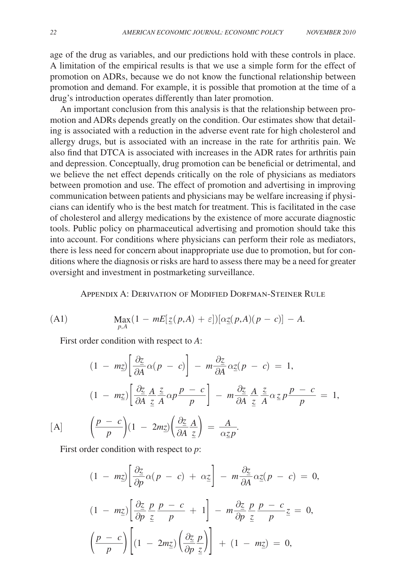<span id="page-23-0"></span>age of the drug as variables, and our predictions hold with these controls in place. A limitation of the empirical results is that we use a simple form for the effect of promotion on ADRs, because we do not know the functional relationship between promotion and demand. For example, it is possible that promotion at the time of a drug's introduction operates differently than later promotion.

An important conclusion from this analysis is that the relationship between promotion and ADRs depends greatly on the condition. Our estimates show that detailing is associated with a reduction in the adverse event rate for high cholesterol and allergy drugs, but is associated with an increase in the rate for arthritis pain. We also find that DTCA is associated with increases in the ADR rates for arthritis pain and depression. Conceptually, drug promotion can be beneficial or detrimental, and we believe the net effect depends critically on the role of physicians as mediators between promotion and use. The effect of promotion and advertising in improving communication between patients and physicians may be welfare increasing if physicians can identify who is the best match for treatment. This is facilitated in the case of cholesterol and allergy medications by the existence of more accurate diagnostic tools. Public policy on pharmaceutical advertising and promotion should take this into account. For conditions where physicians can perform their role as mediators, there is less need for concern about inappropriate use due to promotion, but for conditions where the diagnosis or risks are hard to assess there may be a need for greater oversight and investment in postmarketing surveillance.

# Appendix A: Derivation of Modified Dorfman-Steiner Rule

(A1) 
$$
\underset{p,A}{\text{Max}}\left(1 - mE[\underline{z}(p,A) + \varepsilon])[\alpha \underline{z}(p,A)(p-c)] - A.
$$

First order condition with respect to *A*:

$$
(1 - m\underline{z}) \left[ \frac{\partial \underline{z}}{\partial A} \alpha (p - c) \right] - m \frac{\partial \underline{z}}{\partial A} \alpha \underline{z} (p - c) = 1,
$$
  

$$
(1 - m\underline{z}) \left[ \frac{\partial \underline{z}}{\partial A} \frac{A}{\underline{z}} \frac{\underline{z}}{A} \alpha p \frac{p - c}{p} \right] - m \frac{\partial \underline{z}}{\partial A} \frac{A}{\underline{z}} \frac{\underline{z}}{A} \alpha \underline{z} p \frac{p - c}{p} = 1,
$$
  
[A] 
$$
\left( \frac{p - c}{p} \right) (1 - 2m\underline{z}) \left( \frac{\partial \underline{z}}{\partial A} \frac{A}{\underline{z}} \right) = \frac{A}{\alpha \underline{z} p}.
$$

First order condition with respect to *p*:

$$
(1 - m\underline{z}) \left[ \frac{\partial \underline{z}}{\partial p} \alpha (p - c) + \alpha \underline{z} \right] - m \frac{\partial \underline{z}}{\partial A} \alpha \underline{z} (p - c) = 0,
$$
  

$$
(1 - m\underline{z}) \left[ \frac{\partial \underline{z}}{\partial p} \frac{p}{\underline{z}} \frac{p - c}{p} + 1 \right] - m \frac{\partial \underline{z}}{\partial p} \frac{p}{\underline{z}} \frac{p - c}{p} \underline{z} = 0,
$$
  

$$
\left( \frac{p - c}{p} \right) \left[ (1 - 2m\underline{z}) \left( \frac{\partial \underline{z}}{\partial p} \frac{p}{\underline{z}} \right) \right] + (1 - m\underline{z}) = 0,
$$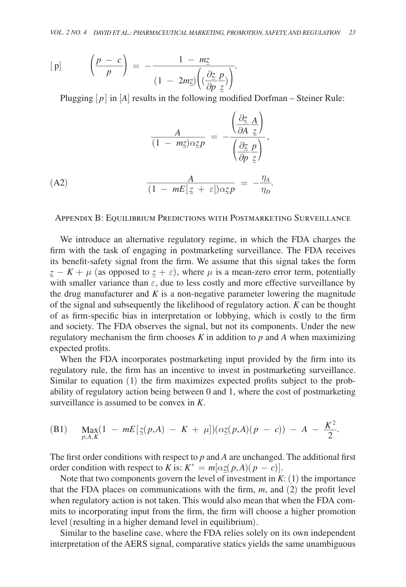<span id="page-24-0"></span>VOL. 2 NO. 4 DAVID ETAL: PHARMACEUTICAL MARKETING, PRO  
\n
$$
\left[\begin{array}{ccc} p & -c \\ p & \end{array}\right] = -\frac{1 - m\underline{z}}{(1 - 2m\underline{z})\left(\left(\frac{\partial \underline{z}}{\partial p} \frac{p}{\underline{z}}\right)\right)}.
$$

Plugging  $[p]$  in  $[A]$  results in the following modified Dorfman – Steiner Rule:

$$
\frac{A}{(1 - m\underline{z})\alpha \underline{z}p} = -\frac{\left(\frac{\partial \underline{z}}{\partial A} \frac{A}{\underline{z}}\right)}{\left(\frac{\partial \underline{z}}{\partial p} \frac{p}{\underline{z}}\right)},
$$
\n(A2)\n
$$
\frac{A}{(1 - m\underline{E}[\underline{z} + \varepsilon])\alpha \underline{z}p} = -\frac{\eta_A}{\eta_D}.
$$

Appendix B: Equilibrium Predictions with Postmarketing Surveillance

We introduce an alternative regulatory regime, in which the FDA charges the firm with the task of engaging in postmarketing surveillance. The FDA receives its benefit-safety signal from the firm. We assume that this signal takes the form  $z - K + \mu$  (as opposed to  $z + \varepsilon$ ), where  $\mu$  is a mean-zero error term, potentially with smaller variance than  $\varepsilon$ , due to less costly and more effective surveillance by the drug manufacturer and  $K$  is a non-negative parameter lowering the magnitude of the signal and subsequently the likelihood of regulatory action. *K* can be thought of as firm-specific bias in interpretation or lobbying, which is costly to the firm and society. The FDA observes the signal, but not its components. Under the new regulatory mechanism the firm chooses *K* in addition to *p* and *A* when maximizing expected profits.

When the FDA incorporates postmarketing input provided by the firm into its regulatory rule, the firm has an incentive to invest in postmarketing surveillance. Similar to equation (1) the firm maximizes expected profits subject to the probability of regulatory action being between 0 and 1, where the cost of postmarketing surveillance is assumed to be convex in *K*.

(B1) 
$$
\max_{p,A,K} (1 - mE[\underline{z}(p,A) - K + \mu])(\alpha \underline{z}(p,A)(p - c)) - A - \frac{K^2}{2}.
$$

The first order conditions with respect to *p* and *A* are unchanged. The additional first order condition with respect to *K* is:  $K^* = m[\alpha z(p, A)(p - c)].$ 

Note that two components govern the level of investment in  $K: (1)$  the importance that the FDA places on communications with the firm, *m*, and (2) the profit level when regulatory action is not taken. This would also mean that when the FDA commits to incorporating input from the firm, the firm will choose a higher promotion level (resulting in a higher demand level in equilibrium).

Similar to the baseline case, where the FDA relies solely on its own independent interpretation of the AERS signal, comparative statics yields the same unambiguous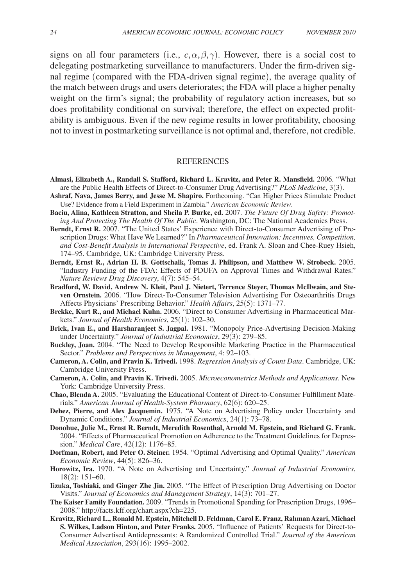<span id="page-25-0"></span>signs on all four parameters (i.e.,  $c, \alpha, \beta, \gamma$ ). However, there is a social cost to delegating postmarketing surveillance to manufacturers. Under the firm-driven signal regime (compared with the FDA-driven signal regime), the average quality of the match between drugs and users deteriorates; the FDA will place a higher penalty weight on the firm's signal; the probability of regulatory action increases, but so does profitability conditional on survival; therefore, the effect on expected profitability is ambiguous. Even if the new regime results in lower profitability, choosing not to invest in postmarketing surveillance is not optimal and, therefore, not credible.

#### **REFERENCES**

- **Almasi, Elizabeth A., Randall S. Stafford, Richard L. Kravitz, and Peter R. Mansfield.** 2006. "What are the Public Health Effects of Direct-to-Consumer Drug Advertising?" *PLoS Medicine*, 3(3).
- **Ashraf, Nava, James Berry, and Jesse M. Shapiro.** Forthcoming. "Can Higher Prices Stimulate Product Use? Evidence from a Field Experiment in Zambia." *American Economic Review*.
- **Baciu, Alina, Kathleen Stratton, and Sheila P. Burke, ed.** 2007. *The Future Of Drug Safety: Promoting And Protecting The Health Of The Public*. Washington, DC: The National Academies Press.
- **Berndt, Ernst R.** 2007. "The United States' Experience with Direct-to-Consumer Advertising of Prescription Drugs: What Have We Learned?" In *Pharmaceutical Innovation: Incentives, Competition, and Cost-Benefit Analysis in International Perspective*, ed. Frank A. Sloan and Chee-Ruey Hsieh, 174–95. Cambridge, UK: Cambridge University Press.
- **Berndt, Ernst R., Adrian H. B. Gottschalk, Tomas J. Philipson, and Matthew W. Strobeck.** 2005. "Industry Funding of the FDA: Effects of PDUFA on Approval Times and Withdrawal Rates." *Nature Reviews Drug Discovery*, 4(7): 545–54.
- **Bradford, W. David, Andrew N. Kleit, Paul J. Nietert, Terrence Steyer, Thomas McIlwain, and Steven Ornstein.** 2006. "How Direct-To-Consumer Television Advertising For Osteoarthritis Drugs Affects Physicians' Prescribing Behavior." *Health Affairs*, 25(5): 1371–77.
- **Brekke, Kurt R., and Michael Kuhn.** 2006. "Direct to Consumer Advertising in Pharmaceutical Markets." *Journal of Health Economics*, 25(1): 102–30.
- **Brick, Ivan E., and Harsharanjeet S. Jagpal.** 1981. "Monopoly Price-Advertising Decision-Making under Uncertainty." *Journal of Industrial Economics*, 29(3): 279–85.
- **Buckley, Joan.** 2004. "The Need to Develop Responsible Marketing Practice in the Pharmaceutical Sector." *Problems and Perspectives in Management*, 4: 92–103.
- **Cameron, A. Colin, and Pravin K. Trivedi.** 1998. *Regression Analysis of Count Data*. Cambridge, UK: Cambridge University Press.
- **Cameron, A. Colin, and Pravin K. Trivedi.** 2005. *Microeconometrics Methods and Applications*. New York: Cambridge University Press.
- **Chao, Blenda A.** 2005. "Evaluating the Educational Content of Direct-to-Consumer Fulfillment Materials." *American Journal of Health-System Pharmacy*, 62(6): 620–25.
- **Dehez, Pierre, and Alex Jacquemin.** 1975. "A Note on Advertising Policy under Uncertainty and Dynamic Conditions." *Journal of Industrial Economics*, 24(1): 73–78.
- **Donohue, Julie M., Ernst R. Berndt, Meredith Rosenthal, Arnold M. Epstein, and Richard G. Frank.** 2004. "Effects of Pharmaceutical Promotion on Adherence to the Treatment Guidelines for Depression." *Medical Care*, 42(12): 1176–85.
- **Dorfman, Robert, and Peter O. Steiner.** 1954. "Optimal Advertising and Optimal Quality." *American Economic Review*, 44(5): 826–36.
- **Horowitz, Ira.** 1970. "A Note on Advertising and Uncertainty." *Journal of Industrial Economics*, 18(2): 151–60.
- **Iizuka, Toshiaki, and Ginger Zhe Jin.** 2005. "The Effect of Prescription Drug Advertising on Doctor Visits." *Journal of Economics and Management Strategy*, 14(3): 701–27.
- **The Kaiser Family Foundation.** 2009. "Trends in Promotional Spending for Prescription Drugs, 1996– 2008." http://facts.kff.org/chart.aspx?ch=225.
- **Kravitz, Richard L., Ronald M. Epstein, Mitchell D. Feldman, Carol E. Franz, RahmanAzari, Michael S. Wilkes, Ladson Hinton, and Peter Franks.** 2005. "Influence of Patients' Requests for Direct-to-Consumer Advertised Antidepressants: A Randomized Controlled Trial." *Journal of the American Medical Association*, 293(16): 1995–2002.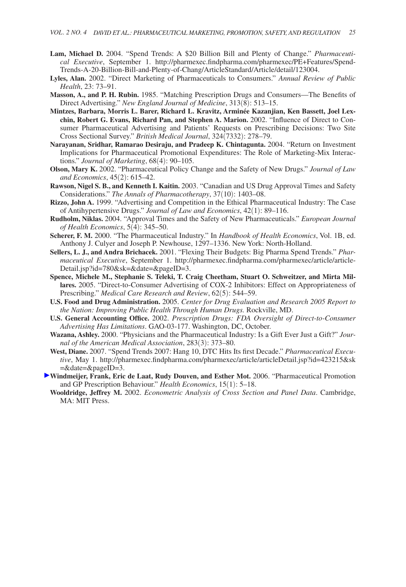- **Lam, Michael D.** 2004. "Spend Trends: A \$20 Billion Bill and Plenty of Change." *Pharmaceutical Executive*, September 1. http://pharmexec.findpharma.com/pharmexec/PE+Features/Spend-Trends-A-20-Billion-Bill-and-Plenty-of-Chang/ArticleStandard/Article/detail/123004.
- **Lyles, Alan.** 2002. "Direct Marketing of Pharmaceuticals to Consumers." *Annual Review of Public Health*, 23: 73–91.
- **Masson, A., and P. H. Rubin.** 1985. "Matching Prescription Drugs and Consumers––The Benefits of Direct Advertising." *New England Journal of Medicine*, 313(8): 513–15.
- **Mintzes, Barbara, Morris L. Barer, Richard L. Kravitz, Arminée Kazanjian, Ken Bassett, Joel Lexchin, Robert G. Evans, Richard Pan, and Stephen A. Marion.** 2002. "Influence of Direct to Consumer Pharmaceutical Advertising and Patients' Requests on Prescribing Decisions: Two Site Cross Sectional Survey." *British Medical Journal*, 324(7332): 278–79.
- **Narayanan, Sridhar, Ramarao Desiraju, and Pradeep K. Chintagunta.** 2004. "Return on Investment Implications for Pharmaceutical Promotional Expenditures: The Role of Marketing-Mix Interactions." *Journal of Marketing*, 68(4): 90–105.
- **Olson, Mary K.** 2002. "Pharmaceutical Policy Change and the Safety of New Drugs." *Journal of Law and Economics*, 45(2): 615–42.
- **Rawson, Nigel S. B., and Kenneth I. Kaitin.** 2003. "Canadian and US Drug Approval Times and Safety Considerations." *The Annals of Pharmacotherapy*, 37(10): 1403–08.
- **Rizzo, John A.** 1999. "Advertising and Competition in the Ethical Pharmaceutical Industry: The Case of Antihypertensive Drugs." *Journal of Law and Economics*, 42(1): 89–116.
- **Rudholm, Niklas.** 2004. "Approval Times and the Safety of New Pharmaceuticals." *European Journal of Health Economics*, 5(4): 345–50.
- **Scherer, F. M.** 2000. "The Pharmaceutical Industry." In *Handbook of Health Economics*, Vol. 1B, ed. Anthony J. Culyer and Joseph P. Newhouse, 1297–1336. New York: North-Holland.
- **Sellers, L. J., and Andra Brichacek.** 2001. "Flexing Their Budgets: Big Pharma Spend Trends." *Pharmaceutical Executive*, September 1. http://pharmexec.findpharma.com/pharmexec/article/article-Detail.jsp?id=780&sk=&date=&pageID=3.
- **Spence, Michele M., Stephanie S. Teleki, T. Craig Cheetham, Stuart O. Schweitzer, and Mirta Millares.** 2005. "Direct-to-Consumer Advertising of COX-2 Inhibitors: Effect on Appropriateness of Prescribing." *Medical Care Research and Review*, 62(5): 544–59.
- **U.S. Food and Drug Administration.** 2005. *Center for Drug Evaluation and Research 2005 Report to the Nation: Improving Public Health Through Human Drugs.* Rockville, MD.
- **U.S. General Accounting Office.** 2002. *Prescription Drugs: FDA Oversight of Direct-to-Consumer Advertising Has Limitations*. GAO-03-177. Washington, DC, October.
- **Wazana, Ashley.** 2000. "Physicians and the Pharmaceutical Industry: Is a Gift Ever Just a Gift?" *Journal of the American Medical Association*, 283(3): 373–80.
- **West, Diane.** 2007. "Spend Trends 2007: Hang 10, DTC Hits Its first Decade." *Pharmaceutical Executive*, May 1. http://pharmexec.findpharma.com/pharmexec/article/articleDetail.jsp?id=423215&sk =&date=&pageID=3.
- **Windmeijer, Frank, Eric de Laat, Rudy Douven, and Esther Mot.** 2006. "Pharmaceutical Promotion and GP Prescription Behaviour." *Health Economics*, 15(1): 5–18.
	- **Wooldridge, Jeffrey M.** 2002. *Econometric Analysis of Cross Section and Panel Data*. Cambridge, MA: MIT Press.